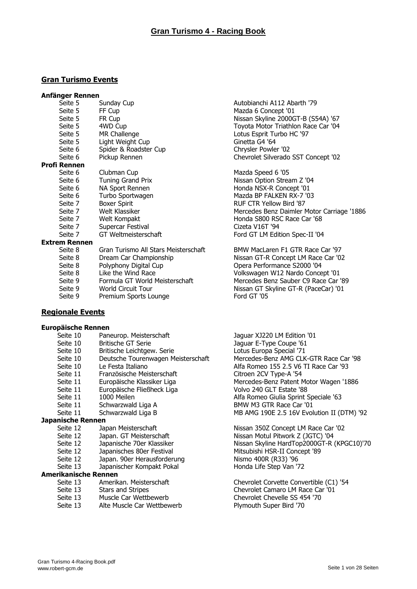#### **Gran Turismo Events**

#### **Anfänger Rennen**

| Seite 5              | Sunday Cup                      |
|----------------------|---------------------------------|
| Seite 5              | FF Cup                          |
| Seite 5              | FR Cup                          |
| Seite 5              | 4WD Cup                         |
| Seite 5              | MR Challenge                    |
| Seite 5              | Light Weight Cup                |
| Seite 6              | Spider & Roadster Cup           |
| Seite 6              | Pickup Rennen                   |
| <b>Profi Rennen</b>  |                                 |
| Seite 6              | Clubman Cup                     |
| Seite 6              | <b>Tuning Grand Prix</b>        |
| Seite 6              | NA Sport Rennen                 |
| Seite 6              | Turbo Sportwagen                |
| Seite 7              | <b>Boxer Spirit</b>             |
| Seite 7              | Welt Klassiker                  |
| Seite 7              | Welt Kompakt                    |
| Seite 7              | Supercar Festival               |
| Seite 7              | GT Weltmeisterschaft            |
| <b>Extrem Rennen</b> |                                 |
| Seite 8              | Gran Turismo All Stars Meisters |
| Seite 8              | Dream Car Championship          |
| Seite 8              | Polyphony Digital Cup           |

- 
- Seite 9 Formula GT World Meisterschaft Mercedes Benz Sauber C9 Race Car '89
- 
- Seite 9 Premium Sports Lounge Ford GT '05

#### **Regionale Events**

#### **Europäische Rennen**

- Seite 10 Paneurop. Meisterschaft Jaguar XJ220 LM Edition '01
- 
- 
- Seite 10 Deutsche Tourenwagen Meisterschaft Mercedes-Benz AMG CLK-GTR Race Car '98
- 
- 
- 
- Seite 11 Europäische Fließheck Liga volto 240 GLT Estate '88
- 
- 
- 

#### **Japanische Rennen**

- 
- Seite 12 Japan. GT Meisterschaft Nissan Motul Pitwork Z (JGTC) '04
- 
- Seite 12 Japanisches 80er Festival Mitsubishi HSR-II Concept '89
- Seite 12 Japan. 90er Herausforderung Nismo 400R (R33) '96
- Seite 13 Japanischer Kompakt Pokal Honda Life Step Van '72

#### **Amerikanische Rennen**

- 
- 
- Seite 13 Muscle Car Wettbewerb Chevrolet Chevelle SS 454 '70
- Seite 13 Alte Muscle Car Wettbewerb Plymouth Super Bird '70

Autobianchi A112 Abarth '79 Mazda 6 Concept '01 Nissan Skyline 2000GT-B (S54A) '67 Tovota Motor Triathlon Race Car '04 Lotus Esprit Turbo HC '97 Ginetta G4 '64 Chrysler Powler '02 Chevrolet Silverado SST Concept '02

Mazda Speed 6 '05 Nissan Option Stream Z '04 Honda NSX-R Concept '01 Mazda BP FALKEN RX-7 '03 RUF CTR Yellow Bird '87 Mercedes Benz Daimler Motor Carriage '1886 Honda S800 RSC Race Car '68 Cizeta V16T '94 Ford GT LM Edition Spec-II '04

schaft BMW MacLaren F1 GTR Race Car '97 Nissan GT-R Concept LM Race Car '02 Opera Performance S2000 '04 Seite 8 Like the Wind Race Concept Volkswagen W12 Nardo Concept '01 Seite 9 World Circuit Tour Nissan GT Skyline GT-R (PaceCar) '01

Seite 10 Britische GT Serie **Jaguar E-Type Coupe '61**<br>Seite 10 Britische Leichtgew. Serie **Jaguar E-Type Coupe '61** Britische Leichtgew. Serie and Lotus Europa Special '71<br>Deutsche Tourenwagen Meisterschaft Mercedes-Benz AMG CLK Seite 10 Le Festa Italiano **Alfa Romeo 155 2.5 V6 TI Race Car** '93 Seite 11 Französische Meisterschaft Citroen 2CV Type-A '54 Seite 11 Europäische Klassiker Liga Mercedes-Benz Patent Motor Wagen '1886 Seite 11 1000 Meilen **Alfa Romeo Giulia Sprint Speciale '63** Seite 11 Schwarzwald Liga A BMW M3 GTR Race Car '01 Seite 11 Schwarzwald Liga B MB AMG 190E 2.5 16V Evolution II (DTM) '92

Seite 12 Japan Meisterschaft Nissan 350Z Concept LM Race Car '02 Seite 12 Japanische 70er Klassiker Nissan Skyline HardTop2000GT-R (KPGC10)'70

Seite 13 Amerikan. Meisterschaft Chevrolet Corvette Convertible (C1) '54<br>Seite 13 Stars and Stripes Chevrolet Camaro LM Race Car '01 Seite 13 Stars and Stripes Chevrolet Camaro LM Race Car '01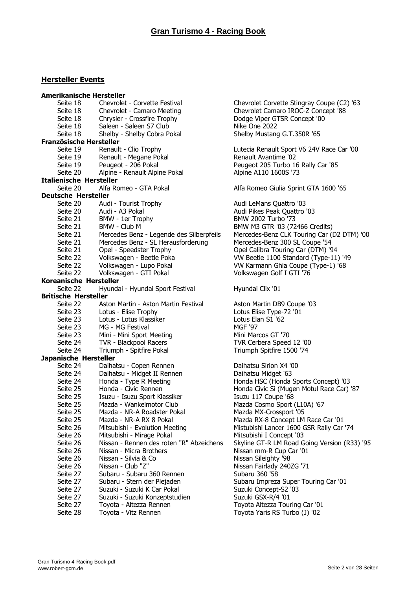#### **Hersteller Events**

| <b>Amerikanische Hersteller</b> |                                          |                                              |
|---------------------------------|------------------------------------------|----------------------------------------------|
| Seite 18                        | Chevrolet - Corvette Festival            | Chevrolet Corvette Stingray Coupe (C2) '63   |
| Seite 18                        | Chevrolet - Camaro Meeting               | Chevrolet Camaro IROC-Z Concept '88          |
| Seite 18                        | Chrysler - Crossfire Trophy              | Dodge Viper GTSR Concept '00                 |
| Seite 18                        | Saleen - Saleen S7 Club                  | Nike One 2022                                |
| Seite 18                        | Shelby - Shelby Cobra Pokal              | Shelby Mustang G.T.350R '65                  |
| Französische Hersteller         |                                          |                                              |
| Seite 19                        | Renault - Clio Trophy                    | Lutecia Renault Sport V6 24V Race Car '00    |
| Seite 19                        | Renault - Megane Pokal                   | Renault Avantime '02                         |
| Seite 19                        | Peugeot - 206 Pokal                      | Peugeot 205 Turbo 16 Rally Car '85           |
| Seite 20                        | Alpine - Renault Alpine Pokal            | Alpine A110 1600S '73                        |
| <b>Italienische Hersteller</b>  |                                          |                                              |
| Seite 20                        | Alfa Romeo - GTA Pokal                   | Alfa Romeo Giulia Sprint GTA 1600 '65        |
| <b>Deutsche Hersteller</b>      |                                          |                                              |
| Seite 20                        | Audi - Tourist Trophy                    | Audi LeMans Quattro '03                      |
| Seite 20                        | Audi - A3 Pokal                          | Audi Pikes Peak Quattro '03                  |
| Seite 21                        | BMW - 1er Trophy                         | BMW 2002 Turbo '73                           |
| Seite 21                        | BMW - Club M                             | BMW M3 GTR '03 (72466 Credits)               |
| Seite 21                        | Mercedes Benz - Legende des Silberpfeils | Mercedes-Benz CLK Touring Car (D2 DTM) '00   |
| Seite 21                        | Mercedes Benz - SL Herausforderung       | Mercedes-Benz 300 SL Coupe '54               |
| Seite 21                        | Opel - Speedster Trophy                  | Opel Calibra Touring Car (DTM) '94           |
| Seite 22                        | Volkswagen - Beetle Poka                 | VW Beetle 1100 Standard (Type-11) '49        |
| Seite 22                        | Volkswagen - Lupo Pokal                  | VW Karmann Ghia Coupe (Type-1) '68           |
| Seite 22                        | Volkswagen - GTI Pokal                   | Volkswagen Golf I GTI '76                    |
| Koreanische Hersteller          |                                          |                                              |
| Seite 22                        | Hyundai - Hyundai Sport Festival         | Hyundai Clix '01                             |
| <b>Britische Hersteller</b>     |                                          |                                              |
| Seite 22                        | Aston Martin - Aston Martin Festival     | Aston Martin DB9 Coupe '03                   |
| Seite 23                        | Lotus - Elise Trophy                     | Lotus Elise Type-72 '01                      |
| Seite 23                        | Lotus - Lotus Klassiker                  | Lotus Elan S1 '62                            |
| Seite 23                        | MG - MG Festival                         | <b>MGF '97</b>                               |
| Seite 23                        | Mini - Mini Sport Meeting                | Mini Marcos GT '70                           |
| Seite 24                        | TVR - Blackpool Racers                   | TVR Cerbera Speed 12 '00                     |
| Seite 24                        | Triumph - Spitfire Pokal                 | Triumph Spitfire 1500 '74                    |
| Japanische Hersteller           |                                          |                                              |
| Seite 24                        | Daihatsu - Copen Rennen                  | Daihatsu Sirion X4 '00                       |
| Seite 24                        | Daihatsu - Midget II Rennen              | Daihatsu Midget '63                          |
| Seite 24                        | Honda - Type R Meeting                   | Honda HSC (Honda Sports Concept) '03         |
| Seite 25                        | Honda - Civic Rennen                     | Honda Civic Si (Mugen Motul Race Car) '87    |
| Seite 25                        | Isuzu - Isuzu Sport Klassiker            | Isuzu 117 Coupe '68                          |
| Seite 25                        | Mazda - Wankelmotor Club                 | Mazda Cosmo Sport (L10A) '67                 |
| Seite 25                        | Mazda - NR-A Roadster Pokal              | Mazda MX-Crossport '05                       |
| Seite 25                        | Mazda - NR-A RX 8 Pokal                  | Mazda RX-8 Concept LM Race Car '01           |
| Seite 26                        | Mitsubishi - Evolution Meeting           | Mistubishi Lancer 1600 GSR Rally Car '74     |
| Seite 26                        | Mitsubishi - Mirage Pokal                | Mitsubishi I Concept '03                     |
| Seite 26                        | Nissan - Rennen des roten "R" Abzeichens | Skyline GT-R LM Road Going Version (R33) '95 |
| Seite 26                        | Nissan - Micra Brothers                  | Nissan mm-R Cup Car '01                      |
| Seite 26                        | Nissan - Silvia & Co                     | Nissan Sileighty '98                         |
| Seite 26                        | Nissan - Club "Z"                        | Nissan Fairlady 240ZG '71                    |
| Seite 27                        | Subaru - Subaru 360 Rennen               | Subaru 360 '58                               |
| Seite 27                        | Subaru - Stern der Plejaden              | Subaru Impreza Super Touring Car '01         |
| Seite 27                        | Suzuki - Suzuki K Car Pokal              | Suzuki Concept-S2 '03                        |
| Seite 27                        | Suzuki - Suzuki Konzeptstudien           | Suzuki GSX-R/4 '01                           |
| Seite 27                        | Toyota - Altezza Rennen                  | Toyota Altezza Touring Car '01               |
| Seite 28                        | Toyota - Vitz Rennen                     | Toyota Yaris RS Turbo (J) '02                |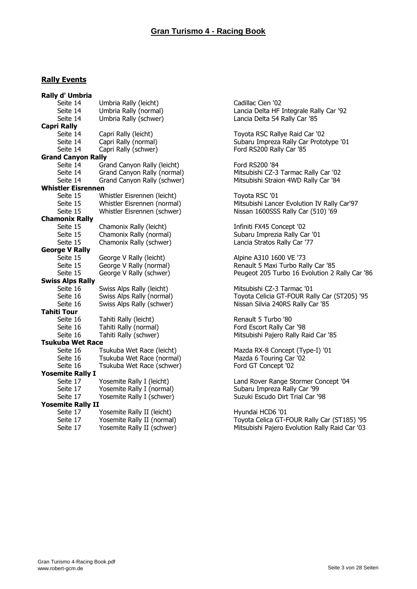#### **Rally Events**

| Rally d' Umbria           |                             |
|---------------------------|-----------------------------|
| Seite 14                  | Umbria Rally (leicht)       |
| Seite 14                  | Umbria Rally (normal)       |
| Seite 14                  | Umbria Rally (schwer)       |
| <b>Capri Rally</b>        |                             |
| Seite 14                  | Capri Rally (leicht)        |
| Seite 14                  | Capri Rally (normal)        |
| Seite 14                  | Capri Rally (schwer)        |
| <b>Grand Canyon Rally</b> |                             |
| Seite 14                  | Grand Canyon Rally (leicht) |
| Seite 14                  | Grand Canyon Rally (normal) |
| Seite 14                  | Grand Canyon Rally (schwer) |
| <b>Whistler Eisrennen</b> |                             |
| Seite 15                  | Whistler Eisrennen (leicht) |
| Seite 15                  | Whistler Eisrennen (normal) |
| Seite 15                  | Whistler Eisrennen (schwer) |
| <b>Chamonix Rally</b>     |                             |
| Seite 15                  | Chamonix Rally (leicht)     |
| Seite 15                  | Chamonix Rally (normal)     |
| Seite 15                  | Chamonix Rally (schwer)     |
| <b>George V Rally</b>     |                             |
| Seite 15                  | George V Rally (leicht)     |
| Seite 15                  | George V Rally (normal)     |
| Seite 15                  | George V Rally (schwer)     |
| <b>Swiss Alps Rally</b>   |                             |
| Seite 16                  | Swiss Alps Rally (leicht)   |
| Seite 16                  | Swiss Alps Rally (normal)   |
| Seite 16                  | Swiss Alps Rally (schwer)   |
| <b>Tahiti Tour</b>        |                             |
| Seite 16                  | Tahiti Rally (leicht)       |
| Seite 16                  | Tahiti Rally (normal)       |
| Seite 16                  | Tahiti Rally (schwer)       |
| <b>Tsukuba Wet Race</b>   |                             |
| Seite 16                  | Tsukuba Wet Race (leicht)   |
| Seite 16                  | Tsukuba Wet Race (normal)   |
| Seite 16                  | Tsukuba Wet Race (schwer)   |
| <b>Yosemite Rally I</b>   |                             |
| Seite 17                  | Yosemite Rally I (leicht)   |
| Seite 17                  | Yosemite Rally I (normal)   |
| Seite 17                  | Yosemite Rally I (schwer)   |
| <b>Yosemite Rally II</b>  |                             |
| Seite 17                  | Yosemite Rally II (leicht)  |
| Seite 17                  | Yosemite Rally II (normal)  |
| Seite 17                  | Yosemite Rally II (schwer)  |

Cadillac Cien '02 Lancia Delta HF Integrale Rally Car '92 Lancia Delta S4 Rally Car '85

Toyota RSC Rallye Raid Car '02 Subaru Impreza Rally Car Prototype '01 Ford RS200 Rally Car '85

Ford RS200 '84 Mitsubishi CZ-3 Tarmac Rally Car '02 Mitsubishi Straion 4WD Rally Car '84

Toyota RSC '01 Mitsubishi Lancer Evolution IV Rally Car'97 Nissan 1600SSS Rally Car (510) '69

Infiniti FX45 Concept '02 Subaru Imprezia Rally Car '01 Lancia Stratos Rally Car '77

Alpine A310 1600 VE '73 Renault 5 Maxi Turbo Rally Car '85 Peugeot 205 Turbo 16 Evolution 2 Rally Car '86

Mitsubishi CZ-3 Tarmac '01 Toyota Celicia GT-FOUR Rally Car (ST205) '95 Nissan Silvia 240RS Rally Car '85

Renault 5 Turbo '80 Ford Escort Rally Car '98 Mitsubishi Pajero Rally Raid Car '85

Mazda RX-8 Concept (Type-I) '01 Mazda 6 Touring Car '02 Ford GT Concept '02

Land Rover Range Stormer Concept '04 Subaru Impreza Rally Car '99 Suzuki Escudo Dirt Trial Car '98

Hyundai HCD6 '01 Toyota Celica GT-FOUR Rally Car (ST185) '95 Mitsubishi Pajero Evolution Rally Raid Car '03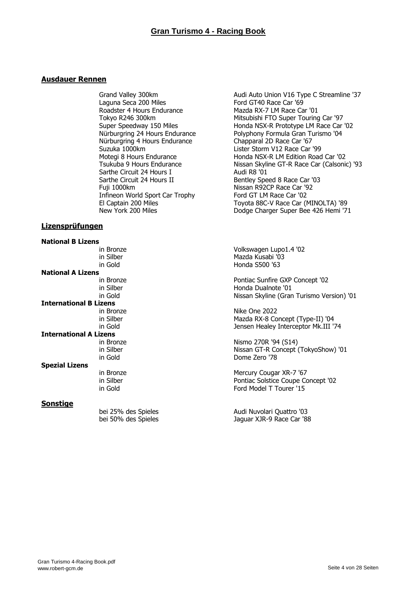#### **Ausdauer Rennen**

Laguna Seca 200 Miles Ford GT40 Race Car '69 Roadster 4 Hours Endurance Mazda RX-7 LM Race Car '01<br>Tokyo R246 300km<br>Mitsubishi FTO Super Touring Nürburgring 4 Hours Endurance<br>
Suzuka 1000km<br>
Lister Storm V12 Race Car Suzuka 1000km<br>Motegi 8 Hours Endurance Motegi 8 Hours Endurance<br>Honda NSX-R LM Edition Road Sarthe Circuit 24 Hours I<br>Sarthe Circuit 24 Hours II Sarthe Circuit 24 Hours II Bentley Speed 8 Race Car '03<br>
Fuji 1000km<br>
Nissan R92CP Race Car '92 Infineon World Sport Car Trophy<br>El Captain 200 Miles

#### **Lizensprüfungen**

| <b>National B Lizens</b> |           |
|--------------------------|-----------|
|                          | in Bronze |
|                          | in Silber |
|                          | in Gold   |
| <b>National A Lizens</b> |           |
|                          | in Bronze |
|                          | in Silber |
|                          | in Gold   |
| International B Lizens   |           |
|                          | in Bronze |
|                          | in Silber |
|                          | in Gold   |
| International A Lizens   |           |
|                          | in Bronze |
|                          | in Silber |
|                          | in Gold   |
| <b>Spezial Lizens</b>    |           |
|                          | in Bronze |
|                          | in Silber |
|                          | in Gold   |
|                          |           |

#### **Sonstige**

Grand Valley 300km **Audi Auto Union V16 Type C Streamline '37** Tokyo R246 300km<br>Super Speedway 150 Miles Miles Monda NSX-R Prototype LM Race Car Super Speedway 150 Miles<br>
Nürburgring 24 Hours Endurance<br>
Polyphony Formula Gran Turismo '04 Polyphony Formula Gran Turismo '04 Motegi 8 Hours Endurance Honda NSX-R LM Edition Road Car '02<br>Tsukuba 9 Hours Endurance House Nissan Skyline GT-R Race Car (Calsonic Nissan Skyline GT-R Race Car (Calsonic) '93<br>Audi R8 '01 Nissan R92CP Race Car '92<br>Ford GT LM Race Car '02 El Captain 200 Miles Toyota 88C-V Race Car (MINOLTA) '89<br>New York 200 Miles Dodge Charger Super Bee 426 Hemi '7 Dodge Charger Super Bee 426 Hemi '71

> Volkswagen Lupo1.4 '02 Mazda Kusabi '03 Honda S500 '63

Pontiac Sunfire GXP Concept '02 Honda Dualnote '01 Nissan Skyline (Gran Turismo Version) '01

Nike One 2022 Mazda RX-8 Concept (Type-II) '04 Jensen Healey Interceptor Mk.III '74

Nismo 270R '94 (S14) Nissan GT-R Concept (TokyoShow) '01 Dome Zero '78

Mercury Cougar XR-7 '67 Pontiac Solstice Coupe Concept '02 Ford Model T Tourer '15

bei 25% des Spieles<br>
bei 50% des Spieles<br>
Audi Nuvolari Quattro '03 Jaguar XJR-9 Race Car '88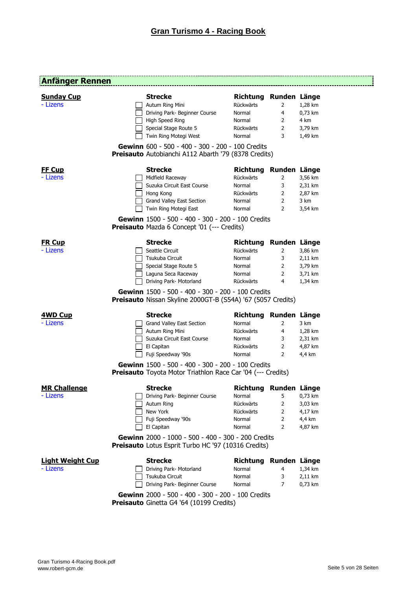---------------------------

### **Anfänger Rennen**

| <b>Sunday Cup</b><br>- Lizens | <b>Strecke</b><br>Autum Ring Mini                                                                                       | Richtung Runden Länge<br>Rückwärts | 2                   | 1,28 km         |
|-------------------------------|-------------------------------------------------------------------------------------------------------------------------|------------------------------------|---------------------|-----------------|
|                               | Driving Park- Beginner Course                                                                                           | Normal                             | 4                   | 0,73 km         |
|                               | High Speed Ring<br>Special Stage Route 5                                                                                | Normal<br>Rückwärts                | 2<br>$\overline{2}$ | 4 km<br>3,79 km |
|                               | Twin Ring Motegi West                                                                                                   | Normal                             | 3                   | 1,49 km         |
|                               |                                                                                                                         |                                    |                     |                 |
|                               | Gewinn 600 - 500 - 400 - 300 - 200 - 100 Credits<br>Preisauto Autobianchi A112 Abarth '79 (8378 Credits)                |                                    |                     |                 |
| <b>FF Cup</b>                 | <b>Strecke</b>                                                                                                          | Richtung Runden Länge              |                     |                 |
| - Lizens                      | Midfield Raceway                                                                                                        | Rückwärts                          | 2                   | 3,56 km         |
|                               | Suzuka Circuit East Course                                                                                              | Normal                             | 3                   | 2,31 km         |
|                               | Hong Kong                                                                                                               | Rückwärts                          | $\overline{2}$      | 2,87 km         |
|                               | Grand Valley East Section                                                                                               | Normal                             | $\overline{2}$      | 3 km            |
|                               | Twin Ring Motegi East                                                                                                   | Normal                             | 2                   | 3,54 km         |
|                               | Gewinn 1500 - 500 - 400 - 300 - 200 - 100 Credits<br><b>Preisauto</b> Mazda 6 Concept '01 (--- Credits)                 |                                    |                     |                 |
| <b>FR Cup</b>                 | <b>Strecke</b>                                                                                                          | Richtung Runden Länge              |                     |                 |
| - Lizens                      | Seattle Circuit                                                                                                         | Rückwärts                          | 2                   | 3,86 km         |
|                               | Tsukuba Circuit                                                                                                         | Normal                             | 3                   | 2,11 km         |
|                               | Special Stage Route 5                                                                                                   | Normal                             | $\overline{2}$      | 3,79 km         |
|                               | Laguna Seca Raceway                                                                                                     | Normal                             | 2                   | 3,71 km         |
|                               | Driving Park- Motorland                                                                                                 | Rückwärts                          | 4                   | 1,34 km         |
|                               | Gewinn 1500 - 500 - 400 - 300 - 200 - 100 Credits<br><b>Preisauto</b> Nissan Skyline 2000GT-B (S54A) '67 (5057 Credits) |                                    |                     |                 |
| 4WD Cup                       | <b>Strecke</b>                                                                                                          | Richtung Runden Länge              |                     |                 |
| - Lizens                      | Grand Valley East Section                                                                                               | Normal                             | 2                   | 3 km            |
|                               | Autum Ring Mini                                                                                                         | Rückwärts                          | 4                   | 1,28 km         |
|                               | Suzuka Circuit East Course                                                                                              | Normal                             | 3                   | 2,31 km         |
|                               | El Capitan                                                                                                              | Rückwärts                          | $\overline{2}$      | 4,87 km         |
|                               | Fuji Speedway '90s                                                                                                      | Normal                             | $\overline{2}$      | 4,4 km          |
|                               | Gewinn 1500 - 500 - 400 - 300 - 200 - 100 Credits<br>Preisauto Toyota Motor Triathlon Race Car '04 (--- Credits)        |                                    |                     |                 |
| <b>MR Challenge</b>           | <b>Strecke</b>                                                                                                          | Richtung                           | Runden Länge        |                 |
| - Lizens                      | Driving Park- Beginner Course                                                                                           | Normal                             | 5                   | 0,73 km         |
|                               | Autum Ring                                                                                                              | Rückwärts                          | 2                   | 3,03 km         |
|                               | New York                                                                                                                | Rückwärts                          | $\overline{2}$      | 4,17 km         |
|                               | Fuji Speedway '90s                                                                                                      | Normal                             | $\overline{2}$      | 4,4 km          |
|                               | El Capitan                                                                                                              | Normal                             | $\overline{2}$      | 4,87 km         |
|                               | Gewinn 2000 - 1000 - 500 - 400 - 300 - 200 Credits<br>Preisauto Lotus Esprit Turbo HC '97 (10316 Credits)               |                                    |                     |                 |
| <b>Light Weight Cup</b>       | <b>Strecke</b>                                                                                                          | Richtung Runden Länge              |                     |                 |
| - Lizens                      | Driving Park- Motorland                                                                                                 | Normal                             | 4                   | 1,34 km         |
|                               | Tsukuba Circuit                                                                                                         | Normal                             | 3                   | 2,11 km         |
|                               | Driving Park- Beginner Course                                                                                           | Normal                             | 7                   | 0,73 km         |
|                               | Gewinn 2000 - 500 - 400 - 300 - 200 - 100 Credits                                                                       |                                    |                     |                 |

**Preisauto** Ginetta G4 '64 (10199 Credits)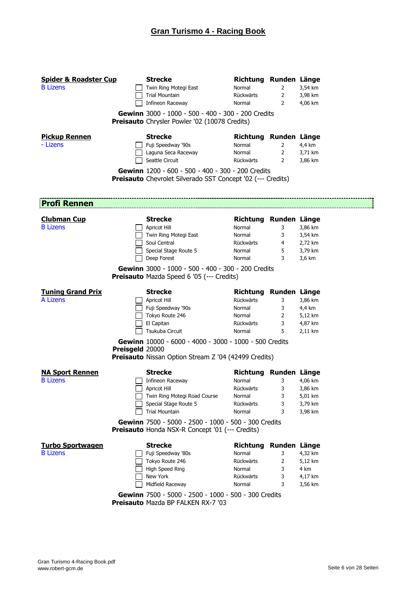| <b>Spider &amp; Roadster Cup</b><br><b>B</b> Lizens |                 | <b>Strecke</b><br>Twin Ring Motegi East<br><b>Trial Mountain</b><br>Infineon Raceway<br>Gewinn 3000 - 1000 - 500 - 400 - 300 - 200 Credits<br><b>Preisauto</b> Chrysler Powler '02 (10078 Credits)                                              | Richtung Runden Länge<br>Normal<br>Rückwärts<br>Normal                        | $\overline{2}$<br>2<br>2                         | 3,54 km<br>3,98 km<br>4,06 km                       |
|-----------------------------------------------------|-----------------|-------------------------------------------------------------------------------------------------------------------------------------------------------------------------------------------------------------------------------------------------|-------------------------------------------------------------------------------|--------------------------------------------------|-----------------------------------------------------|
| <b>Pickup Rennen</b><br>- Lizens                    |                 | <b>Strecke</b><br>Fuji Speedway '90s<br>Laguna Seca Raceway<br>Seattle Circuit<br>Gewinn 1200 - 600 - 500 - 400 - 300 - 200 Credits                                                                                                             | Richtung Runden Länge<br>Normal<br>Normal<br>Rückwärts                        | $\mathbf{2}$<br>$\overline{2}$<br>$\overline{2}$ | 4,4 km<br>3,71 km<br>3,86 km                        |
|                                                     |                 | <b>Preisauto</b> Chevrolet Silverado SST Concept '02 (--- Credits)                                                                                                                                                                              |                                                                               |                                                  |                                                     |
| <b>Profi Rennen</b>                                 |                 |                                                                                                                                                                                                                                                 |                                                                               |                                                  |                                                     |
| <b>Clubman Cup</b><br><b>B</b> Lizens               |                 | <b>Strecke</b><br>Apricot Hill<br>Twin Ring Motegi East<br>Soul Central<br>Special Stage Route 5<br>Deep Forest<br>Gewinn 3000 - 1000 - 500 - 400 - 300 - 200 Credits<br><b>Preisauto</b> Mazda Speed 6 '05 (--- Credits)                       | Richtung Runden Länge<br>Normal<br>Normal<br>Rückwärts<br>Normal<br>Normal    | 3<br>3<br>4<br>5<br>3                            | 3,86 km<br>3,54 km<br>2,72 km<br>3,79 km<br>3,6 km  |
| <b>Tuning Grand Prix</b><br>A Lizens                | Preisgeld 20000 | <b>Strecke</b><br>Apricot Hill<br>Fuji Speedway '90s<br>Tokyo Route 246<br>El Capitan<br>Tsukuba Circuit<br>Gewinn 10000 - 6000 - 4000 - 3000 - 1000 - 500 Credits<br><b>Preisauto</b> Nissan Option Stream Z '04 (42499 Credits)               | Richtung Runden Länge<br>Rückwärts<br>Normal<br>Normal<br>Rückwärts<br>Normal | 3<br>3<br>2<br>3<br>5                            | 3,86 km<br>4,4 km<br>5,12 km<br>4,87 km<br>2,11 km  |
| <b>NA Sport Rennen</b><br><b>B</b> Lizens           |                 | <b>Strecke</b><br>Infineon Raceway<br>Apricot Hill<br>Twin Ring Motegi Road Course<br>Special Stage Route 5<br><b>Trial Mountain</b><br>Gewinn 7500 - 5000 - 2500 - 1000 - 500 - 300 Credits<br>Preisauto Honda NSX-R Concept '01 (--- Credits) | Richtung Runden Länge<br>Normal<br>Rückwärts<br>Normal<br>Rückwärts<br>Normal | 3<br>3<br>3<br>3<br>3                            | 4,06 km<br>3,86 km<br>5,01 km<br>3,79 km<br>3,98 km |
| <b>Turbo Sportwagen</b><br><b>B</b> Lizens          |                 | <b>Strecke</b><br>Fuji Speedway '80s<br>Tokyo Route 246<br>High Speed Ring<br>New York<br>Midfield Raceway<br>Gewinn 7500 - 5000 - 2500 - 1000 - 500 - 300 Credits<br>Preisauto Mazda BP FALKEN RX-7 '03                                        | Richtung Runden Länge<br>Normal<br>Rückwärts<br>Normal<br>Rückwärts<br>Normal | 3<br>2<br>3<br>3<br>3                            | 4,32 km<br>5,12 km<br>4 km<br>4,17 km<br>3,56 km    |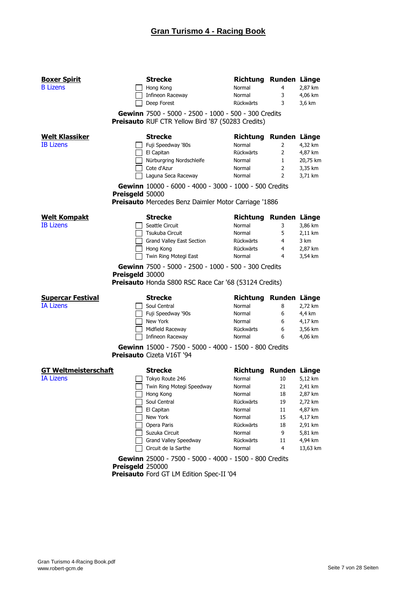| <b>Boxer Spirit</b><br><b>B</b> Lizens          |                  | <b>Strecke</b><br>Hong Kong<br>Infineon Raceway<br>Deep Forest                                                                                                                                                                           | Richtung Runden Länge<br>Normal<br>Normal<br>Rückwärts                                                                             | 4<br>3<br>3                                            | 2,87 km<br>4,06 km<br>3,6 km                                                                                |
|-------------------------------------------------|------------------|------------------------------------------------------------------------------------------------------------------------------------------------------------------------------------------------------------------------------------------|------------------------------------------------------------------------------------------------------------------------------------|--------------------------------------------------------|-------------------------------------------------------------------------------------------------------------|
|                                                 |                  | Gewinn 7500 - 5000 - 2500 - 1000 - 500 - 300 Credits<br>Preisauto RUF CTR Yellow Bird '87 (50283 Credits)                                                                                                                                |                                                                                                                                    |                                                        |                                                                                                             |
| <b>Welt Klassiker</b><br><b>IB Lizens</b>       | Preisgeld 50000  | <b>Strecke</b><br>Fuji Speedway '80s<br>El Capitan<br>Nürburgring Nordschleife<br>Cote d'Azur<br>Laguna Seca Raceway<br>Gewinn 10000 - 6000 - 4000 - 3000 - 1000 - 500 Credits<br>Preisauto Mercedes Benz Daimler Motor Carriage '1886   | Richtung Runden Länge<br>Normal<br>Rückwärts<br>Normal<br>Normal<br>Normal                                                         | 2<br>2<br>$\mathbf{1}$<br>$\overline{2}$<br>2          | 4,32 km<br>4,87 km<br>20,75 km<br>3,35 km<br>3,71 km                                                        |
| <b>Welt Kompakt</b><br><b>IB</b> Lizens         | Preisgeld 30000  | <b>Strecke</b><br>Seattle Circuit<br>Tsukuba Circuit<br>Grand Valley East Section<br>Hong Kong<br>Twin Ring Motegi East<br>Gewinn 7500 - 5000 - 2500 - 1000 - 500 - 300 Credits<br>Preisauto Honda S800 RSC Race Car '68 (53124 Credits) | Richtung Runden Länge<br>Normal<br>Normal<br><b>Rückwärts</b><br><b>Rückwärts</b><br>Normal                                        | 3<br>5<br>4<br>$\overline{4}$<br>4                     | 3,86 km<br>2,11 km<br>3 km<br>2,87 km<br>3,54 km                                                            |
| <b>Supercar Festival</b><br><b>IA Lizens</b>    |                  | <b>Strecke</b><br>Soul Central<br>Fuji Speedway '90s<br>New York<br>Midfield Raceway<br>Infineon Raceway<br>Gewinn 15000 - 7500 - 5000 - 4000 - 1500 - 800 Credits<br><b>Preisauto Cizeta V16T '94</b>                                   | Richtung Runden Länge<br>Normal<br>Normal<br>Normal<br><b>Rückwärts</b><br>Normal                                                  | 8<br>6<br>6<br>6<br>6                                  | 2,72 km<br>4,4 km<br>4,17 km<br>3,56 km<br>4,06 km                                                          |
| <b>GT Weltmeisterschaft</b><br><b>IA Lizens</b> |                  | <b>Strecke</b><br>Tokyo Route 246<br>Twin Ring Motegi Speedway<br>Hong Kong<br>Soul Central<br>El Capitan<br>New York<br>Opera Paris<br>Suzuka Circuit<br>Grand Valley Speedway<br>Circuit de la Sarthe                                  | Richtung Runden Länge<br>Normal<br>Normal<br>Normal<br>Rückwärts<br>Normal<br>Normal<br>Rückwärts<br>Normal<br>Rückwärts<br>Normal | 10<br>21<br>18<br>19<br>11<br>15<br>18<br>9<br>11<br>4 | 5,12 km<br>2,41 km<br>2,87 km<br>2,72 km<br>4,87 km<br>4,17 km<br>2,91 km<br>5,81 km<br>4,94 km<br>13,63 km |
|                                                 | Preisgeld 250000 | Gewinn 25000 - 7500 - 5000 - 4000 - 1500 - 800 Credits<br>Preisauto Ford GT LM Edition Spec-II '04                                                                                                                                       |                                                                                                                                    |                                                        |                                                                                                             |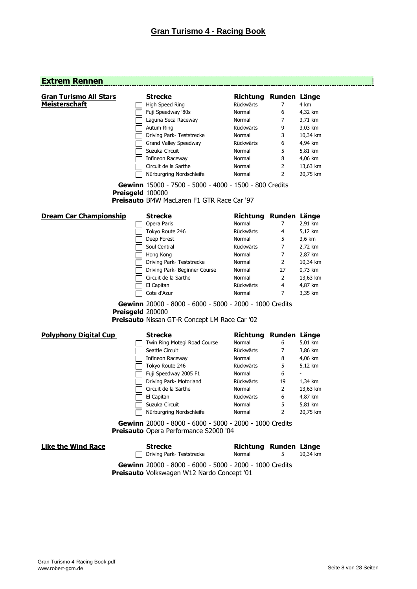# **Extrem Rennen**

| <b>Gran Turismo All Stars</b> | <b>Strecke</b>                                                                                                  | Richtung Runden Länge |                |          |
|-------------------------------|-----------------------------------------------------------------------------------------------------------------|-----------------------|----------------|----------|
| <b>Meisterschaft</b>          | High Speed Ring                                                                                                 | Rückwärts             | 7              | 4 km     |
|                               | Fuji Speedway '80s                                                                                              | Normal                | 6              | 4,32 km  |
|                               | Laguna Seca Raceway                                                                                             | Normal                | 7              | 3,71 km  |
|                               | Autum Ring                                                                                                      | Rückwärts             | 9              | 3,03 km  |
|                               | Driving Park- Teststrecke                                                                                       | Normal                | 3              | 10,34 km |
|                               | Grand Valley Speedway                                                                                           | Rückwärts             | 6              | 4,94 km  |
|                               | Suzuka Circuit                                                                                                  | Normal                | 5              | 5,81 km  |
|                               | Infineon Raceway                                                                                                | Normal                | 8              | 4,06 km  |
|                               | Circuit de la Sarthe                                                                                            | Normal                | 2              | 13,63 km |
|                               | Nürburgring Nordschleife                                                                                        | Normal                | 2              | 20,75 km |
| Preisgeld 100000              | Gewinn 15000 - 7500 - 5000 - 4000 - 1500 - 800 Credits<br><b>Preisauto BMW MacLaren F1 GTR Race Car '97</b>     |                       |                |          |
| <b>Dream Car Championship</b> | <b>Strecke</b>                                                                                                  | Richtung Runden Länge |                |          |
|                               | Opera Paris                                                                                                     | Normal                | 7              | 2,91 km  |
|                               | Tokyo Route 246                                                                                                 | Rückwärts             | 4              | 5,12 km  |
|                               | Deep Forest                                                                                                     | Normal                | 5              | 3,6 km   |
|                               | Soul Central                                                                                                    | Rückwärts             | $\overline{7}$ | 2,72 km  |
|                               | Hong Kong                                                                                                       | Normal                | 7              | 2,87 km  |
|                               | Driving Park- Teststrecke                                                                                       | Normal                | 2              | 10,34 km |
|                               | Driving Park- Beginner Course                                                                                   | Normal                | 27             | 0,73 km  |
|                               | Circuit de la Sarthe                                                                                            | Normal                | 2              | 13,63 km |
|                               | El Capitan                                                                                                      | Rückwärts             | 4              | 4,87 km  |
|                               | Cote d'Azur                                                                                                     | Normal                | 7              | 3,35 km  |
| Preisgeld 200000              | Gewinn 20000 - 8000 - 6000 - 5000 - 2000 - 1000 Credits<br><b>Preisauto Nissan GT-R Concept LM Race Car '02</b> |                       |                |          |
| <b>Polyphony Digital Cup</b>  | <b>Strecke</b>                                                                                                  | Richtung Runden Länge |                |          |
|                               | Twin Ring Motegi Road Course                                                                                    | Normal                | 6              | 5,01 km  |
|                               | Seattle Circuit                                                                                                 | Rückwärts             | 7              | 3,86 km  |
|                               | Infineon Raceway                                                                                                | Normal                | 8              | 4,06 km  |
|                               | Tokyo Route 246                                                                                                 | Rückwärts             | 5              | 5,12 km  |
|                               | Fuji Speedway 2005 F1                                                                                           | Normal                | 6              |          |
|                               | Driving Park- Motorland                                                                                         | Rückwärts             | 19             | 1,34 km  |
|                               | Circuit de la Sarthe                                                                                            | Normal                | 2              | 13,63 km |
|                               | El Capitan                                                                                                      | Rückwärts             | 6              | 4,87 km  |
|                               | Suzuka Circuit                                                                                                  | Normal                | 5              | 5,81 km  |
|                               | Nürburgring Nordschleife                                                                                        | Normal                | $2 \quad$      | 20,75 km |
|                               | Gewinn 20000 - 8000 - 6000 - 5000 - 2000 - 1000 Credits<br>Preisauto Opera Performance S2000 '04                |                       |                |          |
| <b>Like the Wind Race</b>     | <b>Strecke</b>                                                                                                  | Richtung Runden Länge |                |          |
|                               | Driving Park- Teststrecke                                                                                       | Normal                | 5              | 10,34 km |
|                               | <b>Gewinn</b> 20000 - 8000 - 6000 - 5000 - 2000 - 1000 Credits                                                  |                       |                |          |

**Gewinn** 20000 - 8000 - 6000 - 5000 - 2000 - 1000 Credits **Preisauto** Volkswagen W12 Nardo Concept '01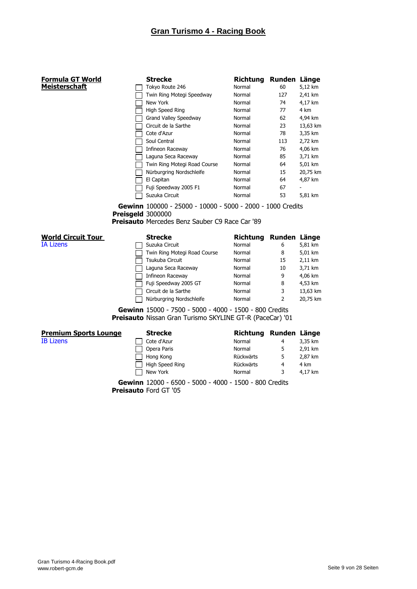| Formula GT World             | <b>Strecke</b>                                                             | <b>Richtung</b> | Runden Länge |          |
|------------------------------|----------------------------------------------------------------------------|-----------------|--------------|----------|
| <u>Meisterschaft</u>         | Tokyo Route 246                                                            | Normal          | 60           | 5,12 km  |
|                              | Twin Ring Motegi Speedway                                                  | Normal          | 127          | 2,41 km  |
|                              | New York                                                                   | Normal          | 74           | 4,17 km  |
|                              | High Speed Ring                                                            | Normal          | 77           | 4 km     |
|                              | Grand Valley Speedway                                                      | Normal          | 62           | 4,94 km  |
|                              | Circuit de la Sarthe                                                       | Normal          | 23           | 13,63 km |
|                              | Cote d'Azur                                                                | Normal          | 78           | 3,35 km  |
|                              | Soul Central                                                               | Normal          | 113          | 2,72 km  |
|                              | Infineon Raceway                                                           | Normal          | 76           | 4,06 km  |
|                              | Laguna Seca Raceway                                                        | Normal          | 85           | 3,71 km  |
|                              | Twin Ring Motegi Road Course                                               | Normal          | 64           | 5,01 km  |
|                              | Nürburgring Nordschleife                                                   | Normal          | 15           | 20,75 km |
|                              | El Capitan                                                                 | Normal          | 64           | 4,87 km  |
|                              | Fuji Speedway 2005 F1                                                      | Normal          | 67           |          |
|                              | Suzuka Circuit                                                             | Normal          | 53           | 5,81 km  |
|                              |                                                                            |                 |              |          |
|                              | Preisgeld 3000000<br><b>Preisauto</b> Mercedes Benz Sauber C9 Race Car '89 |                 |              |          |
| <b>World Circuit Tour</b>    | <b>Strecke</b>                                                             | <b>Richtung</b> | Runden Länge |          |
| <b>IA Lizens</b>             | Suzuka Circuit                                                             | Normal          | 6            | 5,81 km  |
|                              | Twin Ring Motegi Road Course                                               | Normal          | 8            | 5,01 km  |
|                              | Tsukuba Circuit                                                            | Normal          | 15           | 2,11 km  |
|                              | Laguna Seca Raceway                                                        | Normal          | 10           | 3,71 km  |
|                              | Infineon Raceway                                                           | Normal          | 9            | 4,06 km  |
|                              | Fuji Speedway 2005 GT                                                      | Normal          | 8            | 4,53 km  |
|                              | Circuit de la Sarthe                                                       | Normal          | 3            |          |
|                              | Nürburgring Nordschleife                                                   | Normal          | 2            | 20,75 km |
|                              | Gewinn 15000 - 7500 - 5000 - 4000 - 1500 - 800 Credits                     |                 |              |          |
|                              | Preisauto Nissan Gran Turismo SKYLINE GT-R (PaceCar) '01                   |                 |              | 13,63 km |
| <b>Premium Sports Lounge</b> | <b>Strecke</b>                                                             | <b>Richtung</b> | Runden Länge |          |
| <b>IB Lizens</b>             | Cote d'Azur                                                                | Normal          | 4            | 3,35 km  |

New York **Normal** 3 4,17 km **Gewinn** 12000 - 6500 - 5000 - 4000 - 1500 - 800 Credits **Preisauto** Ford GT '05

Hong Kong Rückwärts 5 2,87 km High Speed Ring **Rückwärts** 4 4 km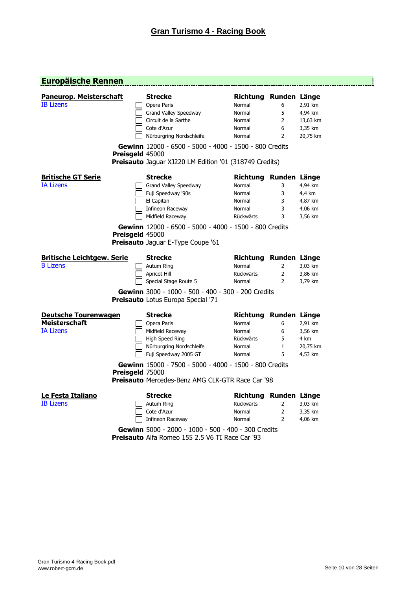### **Europäische Rennen**

| <b>Paneurop. Meisterschaft</b><br><b>IB Lizens</b>                      | Preisgeld 45000 | <b>Strecke</b><br>Opera Paris<br>Grand Valley Speedway<br>Circuit de la Sarthe<br>Cote d'Azur<br>Nürburgring Nordschleife<br>Gewinn 12000 - 6500 - 5000 - 4000 - 1500 - 800 Credits | Richtung Runden Länge<br>Normal<br>Normal<br>Normal<br>Normal<br>Normal    | 6<br>5<br>2<br>6<br>$\overline{2}$    | 2,91 km<br>4,94 km<br>13,63 km<br>3,35 km<br>20,75 km |
|-------------------------------------------------------------------------|-----------------|-------------------------------------------------------------------------------------------------------------------------------------------------------------------------------------|----------------------------------------------------------------------------|---------------------------------------|-------------------------------------------------------|
|                                                                         |                 | Preisauto Jaguar XJ220 LM Edition '01 (318749 Credits)                                                                                                                              |                                                                            |                                       |                                                       |
| <b>Britische GT Serie</b><br><b>IA Lizens</b>                           |                 | <b>Strecke</b><br>Grand Valley Speedway<br>Fuji Speedway '90s<br>El Capitan<br>Infineon Raceway<br>Midfield Raceway<br>Gewinn 12000 - 6500 - 5000 - 4000 - 1500 - 800 Credits       | Richtung Runden Länge<br>Normal<br>Normal<br>Normal<br>Normal<br>Rückwärts | 3<br>3<br>3<br>3<br>3                 | 4,94 km<br>4,4 km<br>4,87 km<br>4,06 km<br>3,56 km    |
|                                                                         | Preisgeld 45000 | Preisauto Jaguar E-Type Coupe '61                                                                                                                                                   |                                                                            |                                       |                                                       |
| <b>Britische Leichtgew. Serie</b><br><b>B</b> Lizens                    |                 | <b>Strecke</b><br>Autum Ring<br>Apricot Hill<br>Special Stage Route 5<br>Gewinn 3000 - 1000 - 500 - 400 - 300 - 200 Credits                                                         | Richtung Runden Länge<br>Normal<br>Rückwärts<br>Normal                     | 2<br>$\overline{2}$<br>$\overline{2}$ | 3,03 km<br>3,86 km<br>3,79 km                         |
|                                                                         |                 | Preisauto Lotus Europa Special '71                                                                                                                                                  |                                                                            |                                       |                                                       |
| <b>Deutsche Tourenwagen</b><br><b>Meisterschaft</b><br><b>IA Lizens</b> |                 | <b>Strecke</b><br>Opera Paris<br>Midfield Raceway<br>High Speed Ring<br>Nürburgring Nordschleife<br>Fuji Speedway 2005 GT                                                           | Richtung Runden Länge<br>Normal<br>Normal<br>Rückwärts<br>Normal<br>Normal | 6<br>6<br>5<br>$\mathbf{1}$<br>5      | 2,91 km<br>3,56 km<br>4 km<br>20,75 km<br>4,53 km     |
|                                                                         | Preisgeld 75000 | Gewinn 15000 - 7500 - 5000 - 4000 - 1500 - 800 Credits<br><b>Preisauto</b> Mercedes-Benz AMG CLK-GTR Race Car '98                                                                   |                                                                            |                                       |                                                       |
| Le Festa Italiano<br><b>IB Lizens</b>                                   |                 | <b>Strecke</b><br>Autum Ring<br>Cote d'Azur<br>Infineon Raceway<br>Gewinn 5000 - 2000 - 1000 - 500 - 400 - 300 Credits                                                              | Richtung Runden Länge<br>Rückwärts<br>Normal<br>Normal                     | $\overline{2}$<br>$\overline{2}$<br>2 | 3,03 km<br>3,35 km<br>4,06 km                         |

**Preisauto** Alfa Romeo 155 2.5 V6 TI Race Car '93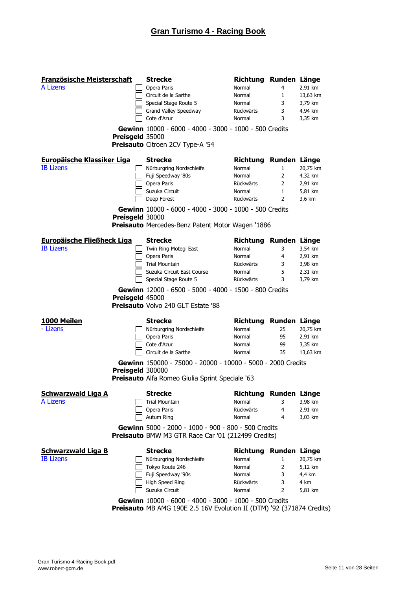| Französische Meisterschaft        |                  | <b>Strecke</b>                                                                                                                  | Richtung Runden Länge |                   |                    |
|-----------------------------------|------------------|---------------------------------------------------------------------------------------------------------------------------------|-----------------------|-------------------|--------------------|
| A Lizens                          |                  | Opera Paris                                                                                                                     | Normal                | 4                 | 2,91 km            |
|                                   |                  | Circuit de la Sarthe                                                                                                            | Normal                | 1                 | 13,63 km           |
|                                   |                  | Special Stage Route 5                                                                                                           | Normal                | 3                 | 3,79 km            |
|                                   |                  | Grand Valley Speedway                                                                                                           | Rückwärts             | 3                 | 4,94 km            |
|                                   |                  | Cote d'Azur                                                                                                                     | Normal                | 3                 | 3,35 km            |
|                                   |                  | Gewinn 10000 - 6000 - 4000 - 3000 - 1000 - 500 Credits                                                                          |                       |                   |                    |
|                                   | Preisgeld 35000  |                                                                                                                                 |                       |                   |                    |
|                                   |                  | Preisauto Citroen 2CV Type-A '54                                                                                                |                       |                   |                    |
| <b>Europäische Klassiker Liga</b> |                  | <b>Strecke</b>                                                                                                                  | Richtung Runden Länge |                   |                    |
| <b>IB Lizens</b>                  |                  | Nürburgring Nordschleife                                                                                                        | Normal                | 1                 | 20,75 km           |
|                                   |                  | Fuji Speedway '80s                                                                                                              | Normal                | 2                 | 4,32 km            |
|                                   |                  | Opera Paris                                                                                                                     | Rückwärts             | 2                 | 2,91 km            |
|                                   |                  | Suzuka Circuit<br>Deep Forest                                                                                                   | Normal<br>Rückwärts   | $\mathbf{1}$<br>2 | 5,81 km<br>3,6 km  |
|                                   |                  |                                                                                                                                 |                       |                   |                    |
|                                   | Preisgeld 30000  | Gewinn 10000 - 6000 - 4000 - 3000 - 1000 - 500 Credits                                                                          |                       |                   |                    |
|                                   |                  | <b>Preisauto</b> Mercedes-Benz Patent Motor Wagen '1886                                                                         |                       |                   |                    |
| <b>Europäische Fließheck Liga</b> |                  | <b>Strecke</b>                                                                                                                  | Richtung Runden Länge |                   |                    |
| <b>IB</b> Lizens                  |                  | Twin Ring Motegi East                                                                                                           | Normal                | 3                 | 3,54 km            |
|                                   |                  | Opera Paris                                                                                                                     | Normal                | 4                 | 2,91 km            |
|                                   |                  | <b>Trial Mountain</b>                                                                                                           | Rückwärts             | 3                 | 3,98 km            |
|                                   |                  | Suzuka Circuit East Course                                                                                                      | Normal<br>Rückwärts   | 5<br>3            | 2,31 km            |
|                                   |                  | Special Stage Route 5                                                                                                           |                       |                   | 3,79 km            |
|                                   |                  | Gewinn 12000 - 6500 - 5000 - 4000 - 1500 - 800 Credits                                                                          |                       |                   |                    |
|                                   | Preisgeld 45000  |                                                                                                                                 |                       |                   |                    |
|                                   |                  | <b>Preisauto Volvo 240 GLT Estate '88</b>                                                                                       |                       |                   |                    |
| 1000 Meilen                       |                  | <b>Strecke</b>                                                                                                                  | Richtung Runden Länge |                   |                    |
| - Lizens                          |                  | Nürburgring Nordschleife                                                                                                        | Normal                | 25                | 20,75 km           |
|                                   |                  | Opera Paris                                                                                                                     | Normal                | 95                | 2,91 km            |
|                                   |                  | Cote d'Azur<br>Circuit de la Sarthe                                                                                             | Normal                | 99                | 3,35 km            |
|                                   |                  |                                                                                                                                 | Normal                | 35                | 13,63 km           |
|                                   |                  | Gewinn 150000 - 75000 - 20000 - 10000 - 5000 - 2000 Credits                                                                     |                       |                   |                    |
|                                   | Preisgeld 300000 | Preisauto Alfa Romeo Giulia Sprint Speciale '63                                                                                 |                       |                   |                    |
|                                   |                  |                                                                                                                                 |                       |                   |                    |
| <b>Schwarzwald Liga A</b>         |                  | <b>Strecke</b>                                                                                                                  | Richtung Runden Länge |                   |                    |
| A Lizens                          |                  | <b>Trial Mountain</b>                                                                                                           | Normal                | 3                 | 3,98 km            |
|                                   |                  | Opera Paris<br>Autum Ring                                                                                                       | Rückwärts<br>Normal   | 4<br>4            | 2,91 km<br>3,03 km |
|                                   |                  |                                                                                                                                 |                       |                   |                    |
|                                   |                  | Gewinn 5000 - 2000 - 1000 - 900 - 800 - 500 Credits<br><b>Preisauto</b> BMW M3 GTR Race Car '01 (212499 Credits)                |                       |                   |                    |
| <b>Schwarzwald Liga B</b>         |                  | <b>Strecke</b>                                                                                                                  | Richtung Runden Länge |                   |                    |
| <b>IB Lizens</b>                  |                  | Nürburgring Nordschleife                                                                                                        | Normal                | $\mathbf{1}$      | 20,75 km           |
|                                   |                  | Tokyo Route 246                                                                                                                 | Normal                | 2                 | 5,12 km            |
|                                   |                  | Fuji Speedway '90s                                                                                                              | Normal                | 3                 | 4,4 km             |
|                                   |                  | High Speed Ring<br>Suzuka Circuit                                                                                               | Rückwärts             | 3                 | 4 km               |
|                                   |                  |                                                                                                                                 | Normal                | 2                 | 5,81 km            |
|                                   |                  | Gewinn 10000 - 6000 - 4000 - 3000 - 1000 - 500 Credits<br>Preisauto MB AMG 190E 2.5 16V Evolution II (DTM) '92 (371874 Credits) |                       |                   |                    |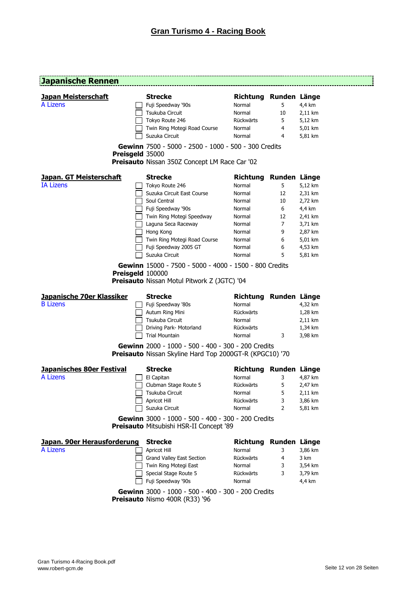-----------------

### **Japanische Rennen**

| <b>Japan Meisterschaft</b><br>A Lizens |                  | <b>Strecke</b><br>Fuji Speedway '90s<br>Tsukuba Circuit                                                      | Richtung Runden Länge<br>Normal<br>Normal | 5.<br>10     | 4,4 km<br>2,11 km |
|----------------------------------------|------------------|--------------------------------------------------------------------------------------------------------------|-------------------------------------------|--------------|-------------------|
|                                        |                  | Tokyo Route 246                                                                                              | Rückwärts                                 | 5            | 5,12 km           |
|                                        |                  | Twin Ring Motegi Road Course                                                                                 | Normal                                    | 4            | 5,01 km           |
|                                        |                  | Suzuka Circuit                                                                                               | Normal                                    | 4            | 5,81 km           |
|                                        | Preisgeld 35000  | Gewinn 7500 - 5000 - 2500 - 1000 - 500 - 300 Credits                                                         |                                           |              |                   |
|                                        |                  | Preisauto Nissan 350Z Concept LM Race Car '02                                                                |                                           |              |                   |
| <b>Japan. GT Meisterschaft</b>         |                  | <b>Strecke</b>                                                                                               | Richtung                                  | Runden Länge |                   |
| <b>IA Lizens</b>                       |                  | Tokyo Route 246                                                                                              | Normal                                    | 5            | 5,12 km           |
|                                        |                  | Suzuka Circuit East Course                                                                                   | Normal                                    | 12           | 2,31 km           |
|                                        |                  | Soul Central                                                                                                 | Normal                                    | 10           | 2,72 km           |
|                                        |                  | Fuji Speedway '90s                                                                                           | Normal                                    | 6            | 4,4 km            |
|                                        |                  | Twin Ring Motegi Speedway                                                                                    | Normal                                    | 12           | 2,41 km           |
|                                        |                  | Laguna Seca Raceway                                                                                          | Normal                                    | 7            | 3,71 km           |
|                                        |                  | Hong Kong                                                                                                    | Normal                                    | 9            | 2,87 km           |
|                                        |                  | Twin Ring Motegi Road Course                                                                                 | Normal                                    | 6            | 5,01 km           |
|                                        |                  | Fuji Speedway 2005 GT                                                                                        | Normal                                    | 6            | 4,53 km           |
|                                        |                  | Suzuka Circuit                                                                                               | Normal                                    | 5            | 5,81 km           |
|                                        | Preisgeld 100000 | Gewinn 15000 - 7500 - 5000 - 4000 - 1500 - 800 Credits<br><b>Preisauto</b> Nissan Motul Pitwork Z (JGTC) '04 |                                           |              |                   |
|                                        |                  |                                                                                                              |                                           |              |                   |
|                                        |                  |                                                                                                              |                                           |              |                   |
| Japanische 70er Klassiker              |                  | <b>Strecke</b>                                                                                               | Richtung Runden Länge                     |              |                   |
| <b>B</b> Lizens                        |                  | Fuji Speedway '80s                                                                                           | Normal                                    |              | 4,32 km           |
|                                        |                  | Autum Ring Mini                                                                                              | Rückwärts                                 |              | 1,28 km           |
|                                        |                  | Tsukuba Circuit                                                                                              | Normal                                    |              | 2,11 km           |
|                                        |                  | Driving Park- Motorland                                                                                      | Rückwärts                                 |              | 1,34 km           |
|                                        |                  | <b>Trial Mountain</b><br>Gewinn 2000 - 1000 - 500 - 400 - 300 - 200 Credits                                  | Normal                                    | 3            | 3,98 km           |
|                                        |                  | <b>Preisauto</b> Nissan Skyline Hard Top 2000GT-R (KPGC10) '70                                               |                                           |              |                   |
| <b>Japanisches 80er Festival</b>       |                  | <b>Strecke</b>                                                                                               | Richtung Runden Länge                     |              |                   |
| A Lizens                               |                  | El Capitan                                                                                                   | Normal                                    | 3            | 4,87 km           |
|                                        |                  | Clubman Stage Route 5                                                                                        | Rückwärts                                 | 5            | 2,47 km           |
|                                        |                  | Tsukuba Circuit                                                                                              | Normal                                    | 5            | 2,11 km           |
|                                        |                  | Apricot Hill                                                                                                 | Rückwärts                                 | 3            | 3,86 km           |
|                                        |                  | Suzuka Circuit                                                                                               | Normal                                    | 2            | 5,81 km           |
|                                        |                  | Gewinn 3000 - 1000 - 500 - 400 - 300 - 200 Credits<br>Preisauto Mitsubishi HSR-II Concept '89                |                                           |              |                   |
| Japan. 90er Herausforderung            |                  | <b>Strecke</b>                                                                                               | Richtung                                  | Runden Länge |                   |
| A Lizens                               |                  | Apricot Hill                                                                                                 | Normal                                    | 3            | 3,86 km           |
|                                        |                  | Grand Valley East Section                                                                                    | Rückwärts                                 | 4            | 3 km              |
|                                        |                  | Twin Ring Motegi East                                                                                        | Normal                                    | 3            | 3,54 km           |
|                                        |                  |                                                                                                              | Rückwärts                                 | 3            |                   |
|                                        |                  | Special Stage Route 5<br>Fuji Speedway '90s                                                                  | Normal                                    |              | 3,79 km<br>4,4 km |

**Preisauto** Nismo 400R (R33) '96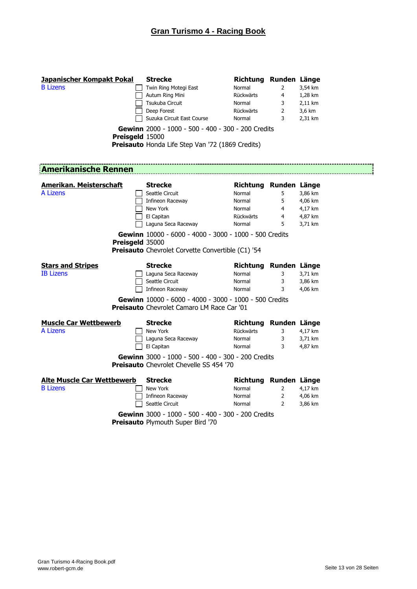| <b>Japanischer Kompakt Pokal</b><br><b>B</b> Lizens<br><b>Preisaeld 15000</b> | <b>Strecke</b><br>Twin Ring Motegi East<br>Autum Ring Mini<br>Tsukuba Circuit<br>Deep Forest<br>Suzuka Circuit East Course<br>Gewinn 2000 - 1000 - 500 - 400 - 300 - 200 Credits<br>Preisauto Honda Life Step Van '72 (1869 Credits) | Richtung Runden Länge<br>Normal<br>Rückwärts<br>Normal<br>Rückwärts<br>Normal | 2<br>4<br>3<br>$\overline{2}$<br>3 | 3,54 km<br>1,28 km<br>2,11 km<br>3,6 km<br>2,31 km |
|-------------------------------------------------------------------------------|--------------------------------------------------------------------------------------------------------------------------------------------------------------------------------------------------------------------------------------|-------------------------------------------------------------------------------|------------------------------------|----------------------------------------------------|
| <b>Amerikanische Rennen</b>                                                   |                                                                                                                                                                                                                                      |                                                                               |                                    |                                                    |
| <u>Amerikan. Meisterschaft</u>                                                | <b>Strecke</b>                                                                                                                                                                                                                       | Richtung Runden Länge                                                         |                                    |                                                    |
| A Lizens                                                                      | Seattle Circuit                                                                                                                                                                                                                      | Normal                                                                        | 5                                  | 3,86 km                                            |
|                                                                               | Infineon Raceway                                                                                                                                                                                                                     | Normal                                                                        | 5.                                 | 4,06 km                                            |
|                                                                               | New York                                                                                                                                                                                                                             | Normal                                                                        | $\overline{4}$                     | 4,17 km                                            |
|                                                                               | El Capitan                                                                                                                                                                                                                           | Rückwärts                                                                     | $\overline{4}$                     | 4,87 km                                            |
|                                                                               | Laguna Seca Raceway                                                                                                                                                                                                                  | Normal                                                                        | 5                                  | 3,71 km                                            |
| Preisgeld 35000<br><b>Stars and Stripes</b><br><b>IB Lizens</b>               | Gewinn 10000 - 6000 - 4000 - 3000 - 1000 - 500 Credits<br><b>Preisauto</b> Chevrolet Corvette Convertible (C1) '54<br><b>Strecke</b><br>Laguna Seca Raceway                                                                          | Richtung Runden Länge<br>Normal                                               | 3                                  | 3,71 km                                            |
|                                                                               | Seattle Circuit                                                                                                                                                                                                                      | Normal                                                                        | 3                                  | 3,86 km                                            |
|                                                                               | Infineon Raceway                                                                                                                                                                                                                     | Normal                                                                        | 3                                  | 4,06 km                                            |
|                                                                               | Gewinn 10000 - 6000 - 4000 - 3000 - 1000 - 500 Credits<br><b>Preisauto</b> Chevrolet Camaro LM Race Car '01                                                                                                                          |                                                                               |                                    |                                                    |
| <b>Muscle Car Wettbewerb</b>                                                  | Strecke                                                                                                                                                                                                                              | Richtung Runden Länge                                                         |                                    |                                                    |
| <b>A Lizens</b>                                                               | New York                                                                                                                                                                                                                             | Rückwärts                                                                     | 3                                  | 4,17 km                                            |
|                                                                               | Laguna Seca Raceway                                                                                                                                                                                                                  | Normal                                                                        | 3                                  | 3,71 km                                            |
|                                                                               | El Capitan                                                                                                                                                                                                                           | Normal                                                                        | 3                                  | 4,87 km                                            |
|                                                                               | Gewinn 3000 - 1000 - 500 - 400 - 300 - 200 Credits<br><b>Preisauto</b> Chevrolet Chevelle SS 454 '70                                                                                                                                 |                                                                               |                                    |                                                    |
| <b>Alte Muscle Car Wettbewerb</b>                                             | <b>Strecke</b>                                                                                                                                                                                                                       | Richtung Runden Länge                                                         |                                    |                                                    |
| <b>B</b> Lizens                                                               | New York                                                                                                                                                                                                                             | Normal                                                                        | $\overline{2}$                     | 4,17 km                                            |
|                                                                               | Infineon Raceway                                                                                                                                                                                                                     | Normal                                                                        | $\overline{2}$                     | 4,06 km                                            |
|                                                                               | Seattle Circuit                                                                                                                                                                                                                      | Normal                                                                        | $\overline{2}$                     | 3,86 km                                            |
|                                                                               | Gewinn 3000 - 1000 - 500 - 400 - 300 - 200 Credits<br>Preisauto Plymouth Super Bird '70                                                                                                                                              |                                                                               |                                    |                                                    |

י־־־־־־<br>!<br>!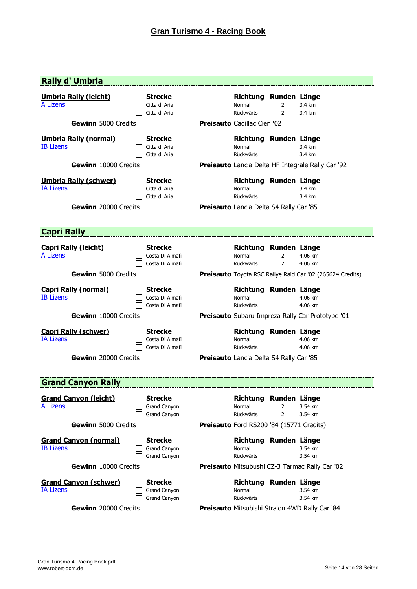| Rally d' Umbria                                  |                                                       |                                                       |                |                                                                  |
|--------------------------------------------------|-------------------------------------------------------|-------------------------------------------------------|----------------|------------------------------------------------------------------|
| <b>Umbria Rally (leicht)</b><br>A Lizens         | <b>Strecke</b><br>Citta di Aria<br>Citta di Aria      | Richtung Runden Länge<br>Normal<br>Rückwärts          | 2<br>2         | 3,4 km<br>3.4 km                                                 |
| <b>Gewinn</b> 5000 Credits                       |                                                       | <b>Preisauto Cadillac Cien '02</b>                    |                |                                                                  |
| <b>Umbria Rally (normal)</b><br><b>IB Lizens</b> | <b>Strecke</b><br>Citta di Aria<br>Citta di Aria      | Richtung Runden Länge<br>Normal<br>Rückwärts          |                | 3,4 km<br>3,4 km                                                 |
| Gewinn 10000 Credits                             |                                                       |                                                       |                | <b>Preisauto</b> Lancia Delta HF Integrale Rally Car '92         |
| <b>Umbria Rally (schwer)</b><br><b>IA Lizens</b> | <b>Strecke</b><br>Citta di Aria<br>Citta di Aria      | Richtung Runden Länge<br>Normal<br>Rückwärts          |                | 3,4 km<br>3,4 km                                                 |
| Gewinn 20000 Credits                             |                                                       | <b>Preisauto</b> Lancia Delta S4 Rally Car '85        |                |                                                                  |
| <b>Capri Rally</b>                               |                                                       |                                                       |                |                                                                  |
| <b>Capri Rally (leicht)</b><br><b>A Lizens</b>   | <b>Strecke</b><br>Costa Di Almafi<br>Costa Di Almafi  | Richtung Runden Länge<br>Normal<br>Rückwärts          | 2<br>2         | 4,06 km<br>4,06 km                                               |
| Gewinn 5000 Credits                              |                                                       |                                                       |                | <b>Preisauto</b> Toyota RSC Rallye Raid Car '02 (265624 Credits) |
| <b>Capri Rally (normal)</b><br><b>IB Lizens</b>  | <b>Strecke</b><br>Costa Di Almafi<br>Costa Di Almafi  | Richtung Runden Länge<br>Normal<br>Rückwärts          |                | 4,06 km<br>4,06 km                                               |
| Gewinn 10000 Credits                             |                                                       |                                                       |                | <b>Preisauto</b> Subaru Impreza Rally Car Prototype '01          |
| <b>Capri Rally (schwer)</b><br><b>IA Lizens</b>  | <b>Strecke</b><br>Costa Di Almafi<br>Costa Di Almafi  | Richtung Runden Länge<br>Normal<br>Rückwärts          |                | 4,06 km<br>4,06 km                                               |
| Gewinn 20000 Credits                             |                                                       | <b>Preisauto</b> Lancia Delta S4 Rally Car '85        |                |                                                                  |
| <b>Grand Canvon Rally</b>                        |                                                       |                                                       |                |                                                                  |
| <b>Grand Canyon (leicht)</b><br>A Lizens         | <b>Strecke</b><br>Grand Canyon                        | Richtung Runden Länge<br>Normal                       | 2              | 3,54 km                                                          |
| <b>Gewinn</b> 5000 Credits                       | <b>Grand Canyon</b>                                   | Rückwärts<br>Preisauto Ford RS200 '84 (15771 Credits) | $\overline{2}$ | 3,54 km                                                          |
| <b>Grand Canyon (normal)</b>                     | <b>Strecke</b>                                        | Richtung Runden Länge                                 |                |                                                                  |
| <b>IB Lizens</b>                                 | Grand Canyon<br><b>Grand Canyon</b>                   | Normal<br>Rückwärts                                   |                | 3,54 km<br>3,54 km                                               |
| Gewinn 10000 Credits                             |                                                       |                                                       |                | <b>Preisauto</b> Mitsubushi CZ-3 Tarmac Rally Car '02            |
| <b>Grand Canyon (schwer)</b><br><b>IA Lizens</b> | <b>Strecke</b><br>Grand Canyon<br><b>Grand Canyon</b> | Richtung Runden Länge<br>Normal<br>Rückwärts          |                | 3,54 km<br>3,54 km                                               |
| Gewinn 20000 Credits                             |                                                       |                                                       |                | <b>Preisauto Mitsubishi Straion 4WD Rally Car '84</b>            |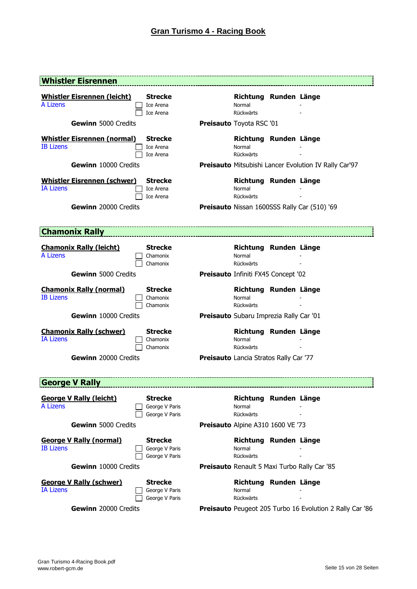| <b>Whistler Eisrennen</b>                              |                                                    |                                              |                                                              |
|--------------------------------------------------------|----------------------------------------------------|----------------------------------------------|--------------------------------------------------------------|
| <b>Whistler Eisrennen (leicht)</b><br>A Lizens         | <b>Strecke</b><br>Ice Arena<br>Ice Arena           | Richtung Runden Länge<br>Normal<br>Rückwärts |                                                              |
| Gewinn 5000 Credits                                    |                                                    | Preisauto Toyota RSC '01                     |                                                              |
| <b>Whistler Eisrennen (normal)</b><br><b>IB Lizens</b> | <b>Strecke</b><br>Ice Arena<br>Ice Arena           | Richtung Runden Länge<br>Normal<br>Rückwärts |                                                              |
| Gewinn 10000 Credits                                   |                                                    |                                              | <b>Preisauto</b> Mitsubishi Lancer Evolution IV Rally Car'97 |
| <b>Whistler Eisrennen (schwer)</b><br><b>IA Lizens</b> | <b>Strecke</b><br>Ice Arena<br>Ice Arena           | Richtung Runden Länge<br>Normal<br>Rückwärts |                                                              |
| Gewinn 20000 Credits                                   |                                                    |                                              | Preisauto Nissan 1600SSS Rally Car (510) '69                 |
|                                                        |                                                    |                                              |                                                              |
| <b>Chamonix Rally</b>                                  |                                                    |                                              |                                                              |
| <b>Chamonix Rally (leicht)</b><br><b>A Lizens</b>      | <b>Strecke</b><br>Chamonix<br>Chamonix             | Richtung Runden Länge<br>Normal<br>Rückwärts |                                                              |
| <b>Gewinn 5000 Credits</b>                             |                                                    | Preisauto Infiniti FX45 Concept '02          |                                                              |
| <b>Chamonix Rally (normal)</b><br><b>IB Lizens</b>     | <b>Strecke</b><br>Chamonix<br>Chamonix             | Richtung Runden Länge<br>Normal<br>Rückwärts |                                                              |
| Gewinn 10000 Credits                                   |                                                    | Preisauto Subaru Imprezia Rally Car '01      |                                                              |
| <b>Chamonix Rally (schwer)</b><br><b>IA Lizens</b>     | <b>Strecke</b><br>Chamonix<br>Chamonix             | Richtung Runden Länge<br>Normal<br>Rückwärts |                                                              |
| Gewinn 20000 Credits                                   |                                                    | Preisauto Lancia Stratos Rally Car '77       |                                                              |
|                                                        |                                                    |                                              |                                                              |
| <b>George V Rally</b>                                  |                                                    |                                              |                                                              |
| <b>George V Rally (leicht)</b><br>A Lizens             | <b>Strecke</b><br>George V Paris<br>George V Paris | Richtung Runden Länge<br>Normal<br>Rückwärts |                                                              |
| <b>Gewinn</b> 5000 Credits                             |                                                    | Preisauto Alpine A310 1600 VE '73            |                                                              |
| <b>George V Rally (normal)</b><br><b>IB Lizens</b>     | <b>Strecke</b><br>George V Paris<br>George V Paris | Richtung Runden Länge<br>Normal<br>Rückwärts |                                                              |
| Gewinn 10000 Credits                                   |                                                    |                                              | <b>Preisauto</b> Renault 5 Maxi Turbo Rally Car '85          |
| <u>George V Rally (schwer)</u><br><b>IA Lizens</b>     | <b>Strecke</b><br>George V Paris<br>George V Paris | Richtung Runden Länge<br>Normal<br>Rückwärts |                                                              |
| Gewinn 20000 Credits                                   |                                                    |                                              | Preisauto Peugeot 205 Turbo 16 Evolution 2 Rally Car '86     |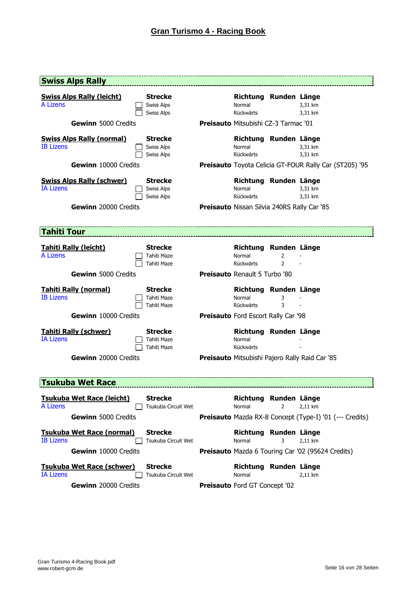| <b>Swiss Alps Rally</b>                              |                                                          |                                              |                     |                                                                |
|------------------------------------------------------|----------------------------------------------------------|----------------------------------------------|---------------------|----------------------------------------------------------------|
| <b>Swiss Alps Rally (leicht)</b><br>A Lizens         | <b>Strecke</b><br><b>Swiss Alps</b><br><b>Swiss Alps</b> | Richtung Runden Länge<br>Normal<br>Rückwärts |                     | 3,31 km<br>3,31 km                                             |
| <b>Gewinn</b> 5000 Credits                           |                                                          | <b>Preisauto Mitsubishi CZ-3 Tarmac '01</b>  |                     |                                                                |
| <b>Swiss Alps Rally (normal)</b><br><b>IB Lizens</b> | <b>Strecke</b><br><b>Swiss Alps</b><br><b>Swiss Alps</b> | Richtung Runden Länge<br>Normal<br>Rückwärts |                     | 3,31 km<br>3,31 km                                             |
| Gewinn 10000 Credits                                 |                                                          |                                              |                     | Preisauto Toyota Celicia GT-FOUR Rally Car (ST205) '95         |
| <b>Swiss Alps Rally (schwer)</b><br><b>IA Lizens</b> | <b>Strecke</b><br><b>Swiss Alps</b><br><b>Swiss Alps</b> | Richtung Runden Länge<br>Normal<br>Rückwärts |                     | 3,31 km<br>3,31 km                                             |
| Gewinn 20000 Credits                                 |                                                          | Preisauto Nissan Silvia 240RS Rally Car '85  |                     |                                                                |
|                                                      |                                                          |                                              |                     |                                                                |
| <b>Tahiti Tour</b>                                   |                                                          |                                              |                     |                                                                |
| <b>Tahiti Rally (leicht)</b><br>A Lizens             | <b>Strecke</b><br>Tahiti Maze<br>Tahiti Maze             | Richtung Runden Länge<br>Normal<br>Rückwärts | 2<br>$\overline{2}$ |                                                                |
| <b>Gewinn</b> 5000 Credits                           |                                                          | <b>Preisauto Renault 5 Turbo '80</b>         |                     |                                                                |
| <b>Tahiti Rally (normal)</b><br><b>IB Lizens</b>     | <b>Strecke</b><br>Tahiti Maze<br>Tahiti Maze             | Richtung Runden Länge<br>Normal<br>Rückwärts | 3<br>3              |                                                                |
|                                                      |                                                          |                                              |                     |                                                                |
| Gewinn 10000 Credits                                 |                                                          | Preisauto Ford Escort Rally Car '98          |                     |                                                                |
| <b>Tahiti Rally (schwer)</b><br><b>IA Lizens</b>     | <b>Strecke</b><br>Tahiti Maze<br>Tahiti Maze             | Richtung Runden Länge<br>Normal<br>Rückwärts |                     |                                                                |
| Gewinn 20000 Credits                                 |                                                          |                                              |                     | Preisauto Mitsubishi Pajero Rally Raid Car '85                 |
|                                                      |                                                          |                                              |                     |                                                                |
| <b>Tsukuba Wet Race</b>                              |                                                          |                                              |                     |                                                                |
| <b>Tsukuba Wet Race (leicht)</b><br>A Lizens         | <b>Strecke</b><br>Tsukuba Circuit Wet                    | Richtung Runden Länge<br>Normal              | 2                   | 2,11 km                                                        |
| <b>Gewinn</b> 5000 Credits                           |                                                          |                                              |                     | <b>Preisauto</b> Mazda RX-8 Concept (Type-I) '01 (--- Credits) |
| <b>Tsukuba Wet Race (normal)</b><br><b>IB Lizens</b> | <b>Strecke</b><br>Tsukuba Circuit Wet                    | Richtung Runden Länge<br>Normal              | 3                   | 2,11 km                                                        |
| <b>Gewinn</b> 10000 Credits                          |                                                          |                                              |                     | <b>Preisauto</b> Mazda 6 Touring Car '02 (95624 Credits)       |
| <b>Tsukuba Wet Race (schwer)</b><br><b>IA Lizens</b> | <b>Strecke</b><br>Tsukuba Circuit Wet                    | Richtung Runden Länge<br>Normal              |                     | 2,11 km                                                        |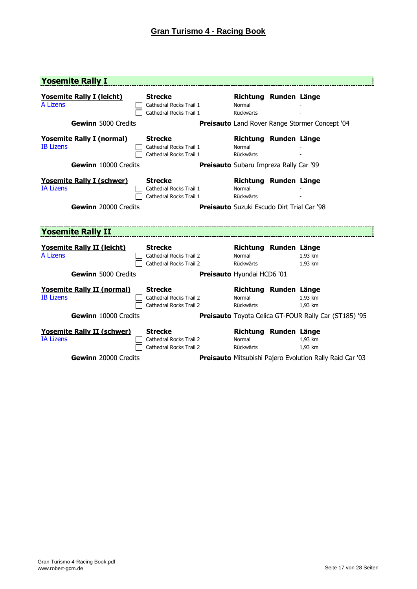| <b>Yosemite Rally I</b>                               |                                                                      |                                                   |                                                                 |
|-------------------------------------------------------|----------------------------------------------------------------------|---------------------------------------------------|-----------------------------------------------------------------|
| <b>Yosemite Rally I (leicht)</b><br><b>A Lizens</b>   | <b>Strecke</b><br>Cathedral Rocks Trail 1<br>Cathedral Rocks Trail 1 | Richtung Runden Länge<br>Normal<br>Rückwärts      |                                                                 |
| <b>Gewinn</b> 5000 Credits                            |                                                                      |                                                   | Preisauto Land Rover Range Stormer Concept '04                  |
| <b>Yosemite Rally I (normal)</b><br><b>IB Lizens</b>  | <b>Strecke</b><br>Cathedral Rocks Trail 1<br>Cathedral Rocks Trail 1 | Richtung Runden Länge<br>Normal<br>Rückwärts      |                                                                 |
| Gewinn 10000 Credits                                  |                                                                      | <b>Preisauto</b> Subaru Impreza Rally Car '99     |                                                                 |
| <b>Yosemite Rally I (schwer)</b><br><b>IA Lizens</b>  | <b>Strecke</b><br>Cathedral Rocks Trail 1<br>Cathedral Rocks Trail 1 | Richtung Runden Länge<br>Normal<br>Rückwärts      |                                                                 |
| Gewinn 20000 Credits                                  |                                                                      | <b>Preisauto</b> Suzuki Escudo Dirt Trial Car '98 |                                                                 |
|                                                       |                                                                      |                                                   |                                                                 |
| <b>Yosemite Rally II</b>                              |                                                                      |                                                   |                                                                 |
| <b>Yosemite Rally II (leicht)</b><br><b>A Lizens</b>  | <b>Strecke</b><br>Cathedral Rocks Trail 2<br>Cathedral Rocks Trail 2 | Richtung Runden Länge<br>Normal<br>Rückwärts      | 1.93 km<br>1,93 km                                              |
| <b>Gewinn</b> 5000 Credits                            |                                                                      | Preisauto Hyundai HCD6 '01                        |                                                                 |
| <b>Yosemite Rally II (normal)</b><br><b>IB Lizens</b> | <b>Strecke</b><br>Cathedral Rocks Trail 2<br>Cathedral Rocks Trail 2 | Richtung Runden Länge<br>Normal<br>Rückwärts      | 1,93 km<br>1,93 km                                              |
| Gewinn 10000 Credits                                  |                                                                      |                                                   | Preisauto Toyota Celica GT-FOUR Rally Car (ST185) '95           |
| <b>Yosemite Rally II (schwer)</b><br><b>IA Lizens</b> | <b>Strecke</b><br>Cathedral Rocks Trail 2<br>Cathedral Rocks Trail 2 | Richtung Runden Länge<br>Normal<br>Rückwärts      | 1,93 km<br>1,93 km                                              |
| Gewinn 20000 Credits                                  |                                                                      |                                                   | <b>Preisauto</b> Mitsubishi Pajero Evolution Rally Raid Car '03 |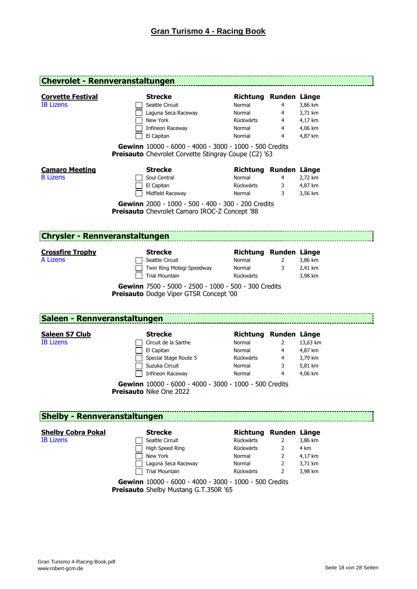| <b>Chevrolet - Rennveranstaltungen</b>        |                                                                                                                                                                                                                                 |                                                                                  |                       |                                                      |
|-----------------------------------------------|---------------------------------------------------------------------------------------------------------------------------------------------------------------------------------------------------------------------------------|----------------------------------------------------------------------------------|-----------------------|------------------------------------------------------|
| <b>Corvette Festival</b><br><b>IB Lizens</b>  | <b>Strecke</b><br>Seattle Circuit<br>Laguna Seca Raceway<br>New York<br>Infineon Raceway<br>El Capitan<br>Gewinn 10000 - 6000 - 4000 - 3000 - 1000 - 500 Credits<br><b>Preisauto</b> Chevrolet Corvette Stingray Coupe (C2) '63 | Richtung Runden Länge<br>Normal<br>Normal<br>Rückwärts<br>Normal<br>Normal       | 4<br>4<br>4<br>4<br>4 | 3,86 km<br>3,71 km<br>4,17 km<br>4,06 km<br>4,87 km  |
| <b>Camaro Meeting</b><br><b>B</b> Lizens      | <b>Strecke</b><br>Soul Central<br>El Capitan<br>Midfield Raceway<br>Gewinn 2000 - 1000 - 500 - 400 - 300 - 200 Credits<br>Preisauto Chevrolet Camaro IROC-Z Concept '88                                                         | Richtung Runden Länge<br>Normal<br>Rückwärts<br>Normal                           | 4<br>3<br>3           | 2,72 km<br>4,87 km<br>3,56 km                        |
| <b>Chrysler - Rennveranstaltungen</b>         |                                                                                                                                                                                                                                 |                                                                                  |                       |                                                      |
| <b>Crossfire Trophy</b><br>A Lizens           | <b>Strecke</b><br>Seattle Circuit<br>Twin Ring Motegi Speedway<br><b>Trial Mountain</b><br>Gewinn 7500 - 5000 - 2500 - 1000 - 500 - 300 Credits<br><b>Preisauto</b> Dodge Viper GTSR Concept '00                                | Richtung Runden Länge<br>Normal<br>Normal<br>Rückwärts                           | 2<br>3                | 3,86 km<br>2,41 km<br>3,98 km                        |
| <b>Saleen - Rennveranstaltungen</b>           |                                                                                                                                                                                                                                 |                                                                                  |                       |                                                      |
| <b>Saleen S7 Club</b><br><b>IB Lizens</b>     | <b>Strecke</b><br>Circuit de la Sarthe<br>El Capitan<br>Special Stage Route 5<br>Suzuka Circuit<br>Infineon Raceway<br>Gewinn 10000 - 6000 - 4000 - 3000 - 1000 - 500 Credits<br>Preisauto Nike One 2022                        | Richtung Runden Länge<br>Normal<br>Normal<br>Rückwärts<br>Normal<br>Normal       | 2<br>4<br>4<br>3<br>4 | 13,63 km<br>4,87 km<br>3,79 km<br>5,81 km<br>4,06 km |
|                                               |                                                                                                                                                                                                                                 |                                                                                  |                       |                                                      |
| <b>Shelby - Rennveranstaltungen</b>           |                                                                                                                                                                                                                                 |                                                                                  |                       |                                                      |
| <b>Shelby Cobra Pokal</b><br><b>IB Lizens</b> | <b>Strecke</b><br>Seattle Circuit<br>High Speed Ring<br>New York<br>Laguna Seca Raceway<br><b>Trial Mountain</b><br>Gewinn 10000 - 6000 - 4000 - 3000 - 1000 - 500 Credits                                                      | Richtung Runden Länge<br>Rückwärts<br>Rückwärts<br>Normal<br>Normal<br>Rückwärts | 2<br>2<br>2<br>2<br>2 | 3,86 km<br>4 km<br>4,17 km<br>3,71 km<br>3,98 km     |

**Preisauto** Shelby Mustang G.T.350R '65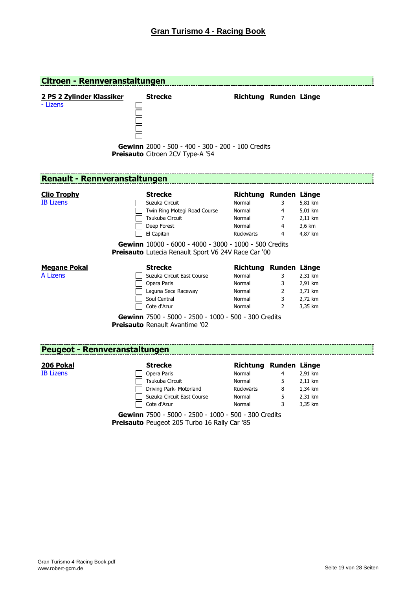| <b>Citroen - Rennveranstaltungen</b>   |                                                                                                                                                                                                                                   |                                                                            |                                                 |                                                     |
|----------------------------------------|-----------------------------------------------------------------------------------------------------------------------------------------------------------------------------------------------------------------------------------|----------------------------------------------------------------------------|-------------------------------------------------|-----------------------------------------------------|
| 2 PS 2 Zylinder Klassiker<br>- Lizens  | <b>Strecke</b><br>Gewinn 2000 - 500 - 400 - 300 - 200 - 100 Credits<br>Preisauto Citroen 2CV Type-A '54                                                                                                                           | Richtung Runden Länge                                                      |                                                 |                                                     |
| <b>Renault - Rennveranstaltungen</b>   |                                                                                                                                                                                                                                   |                                                                            |                                                 |                                                     |
| <b>Clio Trophy</b><br><b>IB Lizens</b> | <b>Strecke</b><br>Suzuka Circuit<br>Twin Ring Motegi Road Course<br>Tsukuba Circuit<br>Deep Forest<br>El Capitan<br>Gewinn 10000 - 6000 - 4000 - 3000 - 1000 - 500 Credits<br>Preisauto Lutecia Renault Sport V6 24V Race Car '00 | Richtung Runden Länge<br>Normal<br>Normal<br>Normal<br>Normal<br>Rückwärts | 3<br>4<br>7<br>4<br>4                           | 5,81 km<br>5,01 km<br>2,11 km<br>3,6 km<br>4,87 km  |
| <b>Megane Pokal</b><br>A Lizens        | <b>Strecke</b><br>Suzuka Circuit East Course<br>Opera Paris<br>Laguna Seca Raceway<br>Soul Central<br>Cote d'Azur<br>Gewinn 7500 - 5000 - 2500 - 1000 - 500 - 300 Credits<br><b>Preisauto Renault Avantime '02</b>                | Richtung Runden Länge<br>Normal<br>Normal<br>Normal<br>Normal<br>Normal    | 3<br>3<br>$\overline{2}$<br>3<br>$\overline{2}$ | 2,31 km<br>2,91 km<br>3,71 km<br>2,72 km<br>3,35 km |
| <b>Peugeot - Rennveranstaltungen</b>   |                                                                                                                                                                                                                                   |                                                                            |                                                 |                                                     |
| 206 Pokal<br><b>IB Lizens</b>          | <b>Strecke</b><br>Opera Paris<br>Tsukuba Circuit<br>Driving Park- Motorland<br>Suzuka Circuit East Course<br>Cote d'Azur                                                                                                          | Richtung Runden Länge<br>Normal<br>Normal<br>Rückwärts<br>Normal<br>Normal | 4<br>5<br>8<br>5<br>3                           | 2,91 km<br>2,11 km<br>1,34 km<br>2,31 km<br>3,35 km |

**Gewinn** 7500 - 5000 - 2500 - 1000 - 500 - 300 Credits **Preisauto** Peugeot 205 Turbo 16 Rally Car '85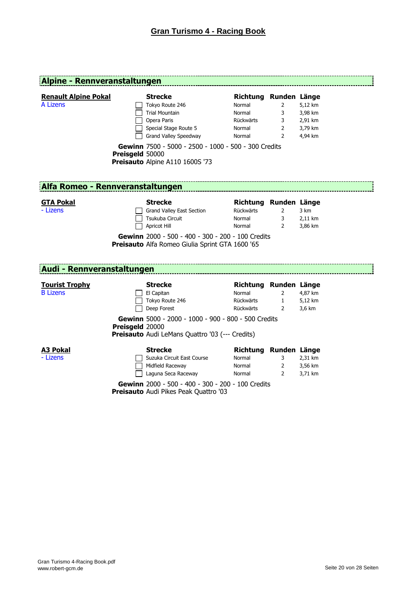| Alpine - Rennveranstaltungen             |                 |                                                                                                                                                                                                                        |                                                                            |                                                 |                                                     |
|------------------------------------------|-----------------|------------------------------------------------------------------------------------------------------------------------------------------------------------------------------------------------------------------------|----------------------------------------------------------------------------|-------------------------------------------------|-----------------------------------------------------|
| <b>Renault Alpine Pokal</b><br>A Lizens  | Preisgeld 50000 | <b>Strecke</b><br>Tokyo Route 246<br><b>Trial Mountain</b><br>Opera Paris<br>Special Stage Route 5<br>Grand Valley Speedway<br>Gewinn 7500 - 5000 - 2500 - 1000 - 500 - 300 Credits<br>Preisauto Alpine A110 1600S '73 | Richtung Runden Länge<br>Normal<br>Normal<br>Rückwärts<br>Normal<br>Normal | $\overline{2}$<br>3<br>3<br>$\overline{2}$<br>2 | 5,12 km<br>3,98 km<br>2,91 km<br>3,79 km<br>4,94 km |
| Alfa Romeo - Rennveranstaltungen         |                 |                                                                                                                                                                                                                        |                                                                            |                                                 |                                                     |
| <b>GTA Pokal</b><br>- Lizens             |                 | <b>Strecke</b><br>Grand Valley East Section<br>Tsukuba Circuit<br>Apricot Hill<br>Gewinn 2000 - 500 - 400 - 300 - 200 - 100 Credits<br>Preisauto Alfa Romeo Giulia Sprint GTA 1600 '65                                 | Richtung Runden Länge<br>Rückwärts<br>Normal<br>Normal                     | $\overline{2}$<br>3<br>$\overline{2}$           | 3 km<br>2,11 km<br>3,86 km                          |
| Audi - Rennveranstaltungen               |                 |                                                                                                                                                                                                                        |                                                                            |                                                 |                                                     |
| <b>Tourist Trophy</b><br><b>B</b> Lizens | Preisgeld 20000 | <b>Strecke</b><br>El Capitan<br>Tokyo Route 246<br>Deep Forest<br>Gewinn 5000 - 2000 - 1000 - 900 - 800 - 500 Credits<br><b>Preisauto</b> Audi LeMans Quattro '03 (--- Credits)                                        | Richtung Runden Länge<br>Normal<br>Rückwärts<br>Rückwärts                  | $\overline{2}$<br>$\mathbf{1}$<br>2             | 4,87 km<br>5,12 km<br>3,6 km                        |
| <u>A3 Pokal</u><br>- Lizens              |                 | <b>Strecke</b><br>Suzuka Circuit East Course<br>Midfield Raceway<br>Laguna Seca Raceway<br>Gewinn 2000 - 500 - 400 - 300 - 200 - 100 Credits                                                                           | Richtung Runden Länge<br>Normal<br>Normal<br>Normal                        | $3^{\circ}$<br>$\mathbf{2}$<br>$\overline{2}$   | 2,31 km<br>3,56 km<br>3,71 km                       |

**Preisauto** Audi Pikes Peak Quattro '03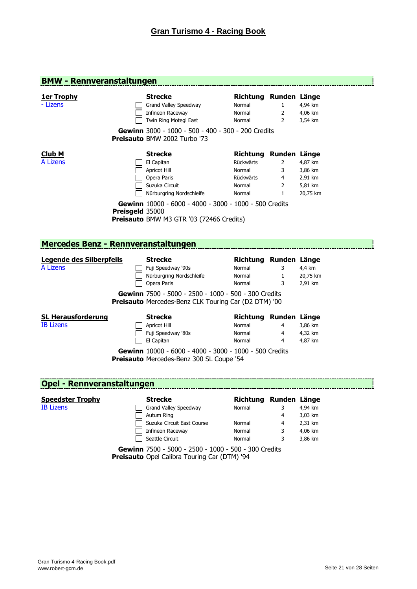| <b>BMW - Rennveranstaltungen</b>              |                 |                                                                                                                                                                                                                 |                                                                               |                                               |                                                      |
|-----------------------------------------------|-----------------|-----------------------------------------------------------------------------------------------------------------------------------------------------------------------------------------------------------------|-------------------------------------------------------------------------------|-----------------------------------------------|------------------------------------------------------|
| <u>1er Trophy</u><br>- Lizens                 |                 | <b>Strecke</b><br>Grand Valley Speedway<br>Infineon Raceway<br>Twin Ring Motegi East                                                                                                                            | Richtung Runden Länge<br>Normal<br>Normal<br>Normal                           | $\mathbf{1}$<br>$\overline{2}$<br>2           | 4,94 km<br>4,06 km<br>3,54 km                        |
|                                               |                 | Gewinn 3000 - 1000 - 500 - 400 - 300 - 200 Credits<br>Preisauto BMW 2002 Turbo '73                                                                                                                              |                                                                               |                                               |                                                      |
| <u>Club M</u><br>A Lizens                     | Preisgeld 35000 | <b>Strecke</b><br>El Capitan<br>Apricot Hill<br>Opera Paris<br>Suzuka Circuit<br>Nürburgring Nordschleife<br>Gewinn 10000 - 6000 - 4000 - 3000 - 1000 - 500 Credits<br>Preisauto BMW M3 GTR '03 (72466 Credits) | Richtung Runden Länge<br>Rückwärts<br>Normal<br>Rückwärts<br>Normal<br>Normal | 2<br>3<br>$\overline{4}$<br>2<br>$\mathbf{1}$ | 4,87 km<br>3,86 km<br>2,91 km<br>5,81 km<br>20,75 km |
| Mercedes Benz - Rennveranstaltungen           |                 |                                                                                                                                                                                                                 |                                                                               |                                               |                                                      |
| Legende des Silberpfeils<br>A Lizens          |                 | <b>Strecke</b><br>Fuji Speedway '90s<br>Nürburgring Nordschleife<br>Opera Paris<br>Gewinn 7500 - 5000 - 2500 - 1000 - 500 - 300 Credits<br>Preisauto Mercedes-Benz CLK Touring Car (D2 DTM) '00                 | Richtung Runden Länge<br>Normal<br>Normal<br>Normal                           | 3<br>$\mathbf{1}$<br>3                        | 4,4 km<br>20,75 km<br>2,91 km                        |
| <b>SL Herausforderung</b><br><b>IB Lizens</b> |                 | <b>Strecke</b><br>Apricot Hill<br>Fuji Speedway '80s<br>El Capitan<br>Gewinn 10000 - 6000 - 4000 - 3000 - 1000 - 500 Credits                                                                                    | Richtung Runden Länge<br>Normal<br>Normal<br>Normal                           | 4<br>4<br>4                                   | 3,86 km<br>4,32 km<br>4,87 km                        |
| <b>Opel - Rennveranstaltungen</b>             |                 | Preisauto Mercedes-Benz 300 SL Coupe '54                                                                                                                                                                        |                                                                               |                                               |                                                      |
| <b>Speedster Trophy</b>                       |                 | <b>Strecke</b>                                                                                                                                                                                                  | Richtung Runden Länge                                                         |                                               |                                                      |
| <b>IB Lizens</b>                              |                 | Grand Valley Speedway<br>Autum Ring<br>Suzuka Circuit East Course<br><b>Infineon Raceway</b>                                                                                                                    | Normal<br>Normal<br>Normal                                                    | 3<br>4<br>4<br>3                              | 4,94 km<br>3,03 km<br>2,31 km<br>4,06 km             |

**Gewinn** 7500 - 5000 - 2500 - 1000 - 500 - 300 Credits **Preisauto** Opel Calibra Touring Car (DTM) '94

Seattle Circuit **Normal** 3 3,86 km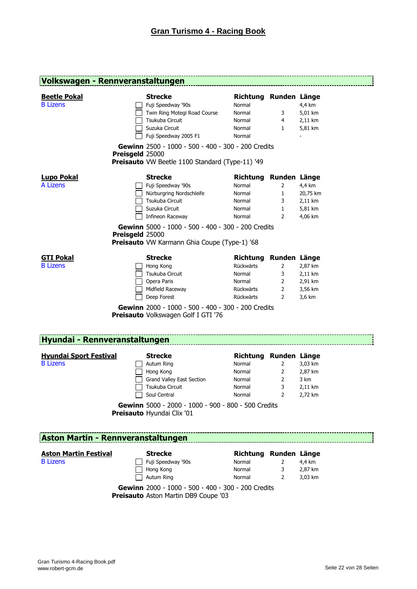|                                                                                   | Volkswagen - Rennveranstaltungen                                                                                                                                                                                                                               |                                                                            |                                                                 |                                                     |
|-----------------------------------------------------------------------------------|----------------------------------------------------------------------------------------------------------------------------------------------------------------------------------------------------------------------------------------------------------------|----------------------------------------------------------------------------|-----------------------------------------------------------------|-----------------------------------------------------|
| <b>Beetle Pokal</b><br><b>B</b> Lizens                                            | <b>Strecke</b><br>Fuji Speedway '90s<br>Twin Ring Motegi Road Course<br>Tsukuba Circuit<br>Suzuka Circuit<br>Fuji Speedway 2005 F1<br>Gewinn 2500 - 1000 - 500 - 400 - 300 - 200 Credits<br>Preisgeld 25000<br>Preisauto VW Beetle 1100 Standard (Type-11) '49 | Richtung Runden Länge<br>Normal<br>Normal<br>Normal<br>Normal<br>Normal    | 3<br>4<br>$\mathbf{1}$                                          | 4,4 km<br>5,01 km<br>2,11 km<br>5,81 km             |
| <b>Lupo Pokal</b><br>A Lizens                                                     | <b>Strecke</b><br>Fuji Speedway '90s<br>Nürburgring Nordschleife<br>Tsukuba Circuit<br>Suzuka Circuit<br>Infineon Raceway<br>Gewinn 5000 - 1000 - 500 - 400 - 300 - 200 Credits<br>Preisgeld 25000<br>Preisauto VW Karmann Ghia Coupe (Type-1) '68             | <b>Richtung</b><br>Normal<br>Normal<br>Normal<br>Normal<br>Normal          | Runden Länge<br>2<br>$\mathbf{1}$<br>3<br>1<br>2                | 4,4 km<br>20,75 km<br>2,11 km<br>5,81 km<br>4,06 km |
| GTI Pokal<br><b>B</b> Lizens                                                      | <b>Strecke</b><br>Hong Kong<br>Tsukuba Circuit<br>Opera Paris<br>Midfield Raceway<br>Deep Forest<br>Gewinn 2000 - 1000 - 500 - 400 - 300 - 200 Credits<br>Preisauto Volkswagen Golf I GTI '76                                                                  | <b>Richtung</b><br>Rückwärts<br>Normal<br>Normal<br>Rückwärts<br>Rückwärts | Runden Länge<br>$\overline{2}$<br>3<br>2<br>$\overline{2}$<br>2 | 2,87 km<br>2,11 km<br>2,91 km<br>3,56 km<br>3,6 km  |
| Hyundai - Rennveranstaltungen<br><b>Hyundai Sport Festival</b><br><b>B</b> Lizens | <b>Strecke</b><br>Autum Ring<br>Hong Kong<br><b>Grand Valley East Section</b><br>Tsukuba Circuit<br>Soul Central                                                                                                                                               | Richtung Runden Länge<br>Normal<br>Normal<br>Normal<br>Normal<br>Normal    | $\overline{2}$<br>2<br>2<br>3<br>$\overline{2}$                 | 3,03 km<br>2,87 km<br>3 km<br>2,11 km<br>2,72 km    |

**Gewinn** 5000 - 2000 - 1000 - 900 - 800 - 500 Credits **Preisauto** Hyundai Clix '01

# **Aston Martin - Rennveranstaltungen**

### **Aston Martin Festival <b>Right** Streck

| ۰.<br>٠ |
|---------|
|         |

|              | Strecke         |
|--------------|-----------------|
| l 1          | Fuji Speedway " |
| $\mathbf{I}$ | Hong Kong       |
|              | Autum Ring      |

| Aston Martin Festival | Strecke            | Richtung Runden Länge |         |
|-----------------------|--------------------|-----------------------|---------|
| <b>B</b> Lizens       | Fuji Speedway '90s | Normal                | 4.4 km  |
|                       | Hong Kong          | Normal                | 2.87 km |
|                       | Autum Ring         | Normal                | 3.03 km |
|                       |                    |                       |         |

**Gewinn** 2000 - 1000 - 500 - 400 - 300 - 200 Credits **Preisauto** Aston Martin DB9 Coupe '03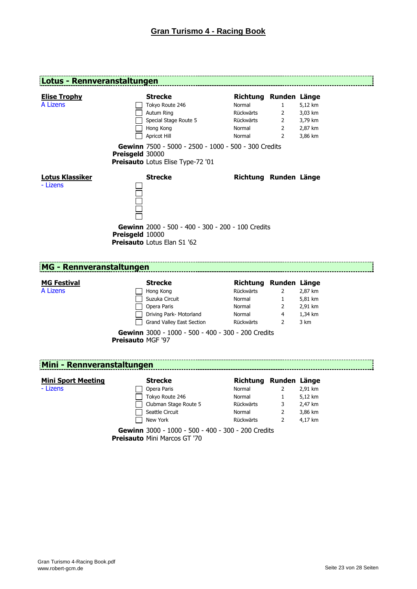**Preisauto** Mini Marcos GT '70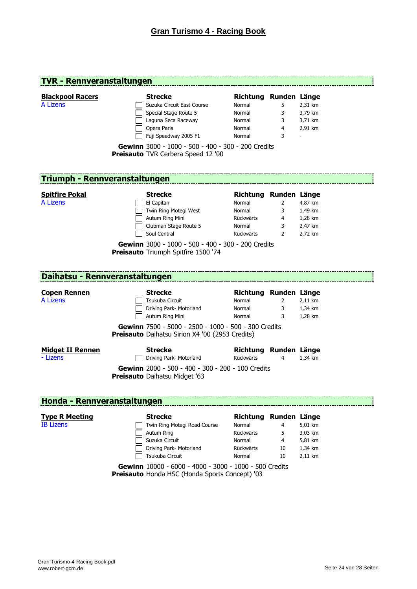| <b>TVR - Rennveranstaltungen</b>                                                                               |                                                                                           |                       |                |         |  |  |  |
|----------------------------------------------------------------------------------------------------------------|-------------------------------------------------------------------------------------------|-----------------------|----------------|---------|--|--|--|
| <b>Blackpool Racers</b>                                                                                        | <b>Strecke</b>                                                                            | Richtung Runden Länge |                |         |  |  |  |
| A Lizens                                                                                                       |                                                                                           |                       |                |         |  |  |  |
|                                                                                                                | Suzuka Circuit East Course                                                                | Normal                | 5              | 2,31 km |  |  |  |
|                                                                                                                | Special Stage Route 5                                                                     | Normal                | 3              | 3,79 km |  |  |  |
|                                                                                                                | Laguna Seca Raceway                                                                       | Normal                | 3              | 3,71 km |  |  |  |
|                                                                                                                | Opera Paris                                                                               | Normal                | 4              | 2,91 km |  |  |  |
|                                                                                                                | Fuji Speedway 2005 F1                                                                     | Normal                | 3              |         |  |  |  |
| Gewinn 3000 - 1000 - 500 - 400 - 300 - 200 Credits<br><b>Preisauto</b> TVR Cerbera Speed 12 '00                |                                                                                           |                       |                |         |  |  |  |
|                                                                                                                |                                                                                           |                       |                |         |  |  |  |
|                                                                                                                | <b>Triumph - Rennveranstaltungen</b>                                                      |                       |                |         |  |  |  |
| <b>Spitfire Pokal</b>                                                                                          | <b>Strecke</b>                                                                            | Richtung Runden Länge |                |         |  |  |  |
| A Lizens                                                                                                       | El Capitan                                                                                | Normal                | 2              | 4,87 km |  |  |  |
|                                                                                                                | Twin Ring Motegi West                                                                     | Normal                | 3              | 1,49 km |  |  |  |
|                                                                                                                | Autum Ring Mini                                                                           | Rückwärts             | 4              | 1,28 km |  |  |  |
|                                                                                                                | Clubman Stage Route 5                                                                     | Normal                | 3              | 2,47 km |  |  |  |
|                                                                                                                | Soul Central                                                                              | Rückwärts             | $\overline{2}$ | 2,72 km |  |  |  |
|                                                                                                                | Gewinn 3000 - 1000 - 500 - 400 - 300 - 200 Credits                                        |                       |                |         |  |  |  |
|                                                                                                                | Daihatsu - Rennveranstaltungen                                                            |                       |                |         |  |  |  |
|                                                                                                                |                                                                                           |                       |                |         |  |  |  |
| <b>Copen Rennen</b><br>A Lizens                                                                                | <b>Strecke</b>                                                                            | Richtung Runden Länge |                |         |  |  |  |
|                                                                                                                | Tsukuba Circuit                                                                           | Normal                | $\overline{2}$ | 2,11 km |  |  |  |
|                                                                                                                | Driving Park- Motorland                                                                   | Normal                | 3              | 1,34 km |  |  |  |
|                                                                                                                | Autum Ring Mini                                                                           | Normal                | 3              | 1,28 km |  |  |  |
| Gewinn 7500 - 5000 - 2500 - 1000 - 500 - 300 Credits<br><b>Preisauto</b> Daihatsu Sirion X4 '00 (2953 Credits) |                                                                                           |                       |                |         |  |  |  |
| <b>Midget II Rennen</b>                                                                                        | <b>Strecke</b>                                                                            | Richtung Runden Länge |                |         |  |  |  |
| - Lizens                                                                                                       | Driving Park- Motorland                                                                   | Rückwärts             | 4              | 1,34 km |  |  |  |
|                                                                                                                | Gewinn 2000 - 500 - 400 - 300 - 200 - 100 Credits<br><b>Preisauto</b> Daihatsu Midget '63 |                       |                |         |  |  |  |
| Honda - Rennveranstaltungen                                                                                    |                                                                                           |                       |                |         |  |  |  |
|                                                                                                                |                                                                                           |                       |                |         |  |  |  |
| <b>Type R Meeting</b>                                                                                          | <b>Strecke</b>                                                                            | Richtung              | Runden Länge   |         |  |  |  |
| <b>IB Lizens</b>                                                                                               | Twin Ring Motegi Road Course                                                              | Normal                | 4              | 5,01 km |  |  |  |
|                                                                                                                | Autum Ring                                                                                | Rückwärts             | 5              | 3,03 km |  |  |  |
|                                                                                                                | Suzuka Circuit                                                                            | Normal                | 4              | 5,81 km |  |  |  |
|                                                                                                                | Driving Park- Motorland                                                                   | Rückwärts             | 10             | 1,34 km |  |  |  |
|                                                                                                                | Tsukuba Circuit                                                                           | Normal                | 10             | 2,11 km |  |  |  |
|                                                                                                                | Gewinn 10000 - 6000 - 4000 - 3000 - 1000 - 500 Credits                                    |                       |                |         |  |  |  |
|                                                                                                                | Preisauto Honda HSC (Honda Sports Concept) '03                                            |                       |                |         |  |  |  |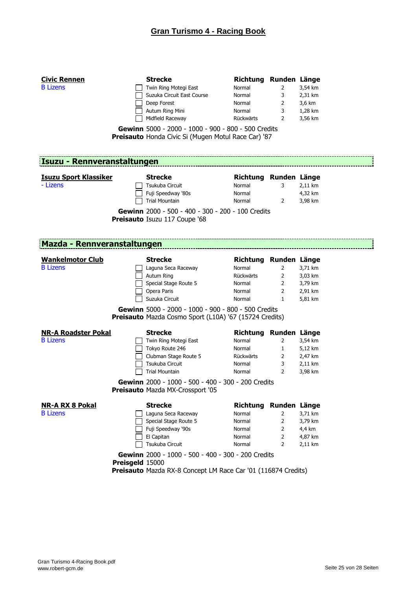| <b>Civic Rennen</b><br><b>B</b> Lizens        | <b>Strecke</b><br>Twin Ring Motegi East<br>Suzuka Circuit East Course<br>Deep Forest<br>Autum Ring Mini<br>Midfield Raceway<br>Gewinn 5000 - 2000 - 1000 - 900 - 800 - 500 Credits<br>Preisauto Honda Civic Si (Mugen Motul Race Car) '87 | Richtung Runden Länge<br>Normal<br>Normal<br>Normal<br>Normal<br>Rückwärts                    | 2<br>3<br>$\overline{2}$<br>3<br>2 | 3,54 km<br>2,31 km<br>3,6 km<br>1,28 km<br>3,56 km  |
|-----------------------------------------------|-------------------------------------------------------------------------------------------------------------------------------------------------------------------------------------------------------------------------------------------|-----------------------------------------------------------------------------------------------|------------------------------------|-----------------------------------------------------|
| Isuzu - Rennveranstaltungen                   |                                                                                                                                                                                                                                           |                                                                                               |                                    |                                                     |
| <b>Isuzu Sport Klassiker</b><br>- Lizens      | <b>Strecke</b><br>Tsukuba Circuit<br>Fuji Speedway '80s<br><b>Trial Mountain</b><br>Gewinn 2000 - 500 - 400 - 300 - 200 - 100 Credits<br>Preisauto Isuzu 117 Coupe '68                                                                    | Richtung Runden Länge<br>Normal<br>Normal<br>Normal                                           | 3<br>2                             | 2,11 km<br>4,32 km<br>3,98 km                       |
| Mazda - Rennveranstaltungen                   |                                                                                                                                                                                                                                           | and the control of the control of the control of the control of the control of the control of |                                    |                                                     |
| <b>Wankelmotor Club</b><br><b>B</b> Lizens    | <b>Strecke</b><br>Laguna Seca Raceway<br>Autum Ring<br>Special Stage Route 5<br>Opera Paris<br>Suzuka Circuit<br>Gewinn 5000 - 2000 - 1000 - 900 - 800 - 500 Credits<br>Preisauto Mazda Cosmo Sport (L10A) '67 (15724 Credits)            | Richtung Runden Länge<br>Normal<br>Rückwärts<br>Normal<br>Normal<br>Normal                    | 2<br>2<br>$\overline{2}$<br>2<br>1 | 3,71 km<br>3,03 km<br>3,79 km<br>2,91 km<br>5,81 km |
| <b>NR-A Roadster Pokal</b><br><b>B</b> Lizens | <b>Strecke</b><br>Twin Ring Motegi East<br>Tokyo Route 246<br>Clubman Stage Route 5<br>Tsukuba Circuit<br><b>Trial Mountain</b><br>Gewinn 2000 - 1000 - 500 - 400 - 300 - 200 Credits<br>Preisauto Mazda MX-Crossport '05                 | Richtung Runden Länge<br>Normal<br>Normal<br>Rückwärts<br>Normal<br>Normal                    | 2<br>1<br>2<br>3<br>$\overline{2}$ | 3,54 km<br>5,12 km<br>2,47 km<br>2,11 km<br>3,98 km |
| <b>NR-A RX 8 Pokal</b><br><b>B</b> Lizens     | <b>Strecke</b><br>Laguna Seca Raceway<br>Special Stage Route 5<br>Fuji Speedway '90s<br>El Capitan<br>Tsukuba Circuit<br>Gewinn 2000 - 1000 - 500 - 400 - 300 - 200 Credits<br>Preisgeld 15000                                            | Richtung Runden Länge<br>Normal<br>Normal<br>Normal<br>Normal<br>Normal                       | 2<br>2<br>2<br>2<br>$\overline{2}$ | 3,71 km<br>3,79 km<br>4,4 km<br>4,87 km<br>2,11 km  |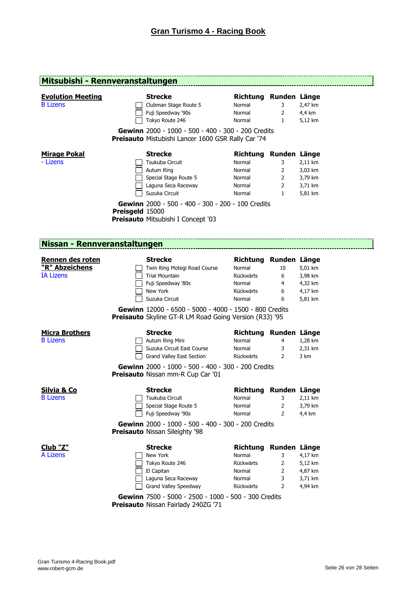| Mitsubishi - Rennveranstaltungen                       |                 |                                                                                                                                                                                                                                                        |                                                                               |                                               |                                                     |
|--------------------------------------------------------|-----------------|--------------------------------------------------------------------------------------------------------------------------------------------------------------------------------------------------------------------------------------------------------|-------------------------------------------------------------------------------|-----------------------------------------------|-----------------------------------------------------|
| <b>Evolution Meeting</b><br><b>B</b> Lizens            |                 | <b>Strecke</b><br>Clubman Stage Route 5<br>Fuji Speedway '90s<br>Tokyo Route 246                                                                                                                                                                       | Richtung Runden Länge<br>Normal<br>Normal<br>Normal                           | 3<br>2<br>1                                   | 2,47 km<br>4,4 km<br>5,12 km                        |
|                                                        |                 | Gewinn 2000 - 1000 - 500 - 400 - 300 - 200 Credits<br>Preisauto Mistubishi Lancer 1600 GSR Rally Car '74                                                                                                                                               |                                                                               |                                               |                                                     |
| <b>Mirage Pokal</b><br>- Lizens                        | Preisgeld 15000 | <b>Strecke</b><br>Tsukuba Circuit<br>Autum Ring<br>Special Stage Route 5<br>Laguna Seca Raceway<br>Suzuka Circuit<br>Gewinn 2000 - 500 - 400 - 300 - 200 - 100 Credits<br>Preisauto Mitsubishi I Concept '03                                           | Richtung Runden Länge<br>Normal<br>Normal<br>Normal<br>Normal<br>Normal       | 3<br>$\overline{2}$<br>2<br>2<br>$\mathbf{1}$ | 2,11 km<br>3,03 km<br>3,79 km<br>3,71 km<br>5,81 km |
| Nissan - Rennveranstaltungen                           |                 |                                                                                                                                                                                                                                                        |                                                                               |                                               |                                                     |
| Rennen des roten<br>"R" Abzeichens<br><b>IA Lizens</b> |                 | <b>Strecke</b><br>Twin Ring Motegi Road Course<br><b>Trial Mountain</b><br>Fuji Speedway '80s<br>New York<br>Suzuka Circuit<br>Gewinn 12000 - 6500 - 5000 - 4000 - 1500 - 800 Credits<br><b>Preisauto</b> Skyline GT-R LM Road Going Version (R33) '95 | Richtung Runden Länge<br>Normal<br>Rückwärts<br>Normal<br>Rückwärts<br>Normal | 10<br>6<br>4<br>6<br>6                        | 5,01 km<br>3,98 km<br>4,32 km<br>4,17 km<br>5,81 km |
| <b>Micra Brothers</b><br><b>B</b> Lizens               |                 | <b>Strecke</b><br>Autum Ring Mini<br>Suzuka Circuit East Course<br>Grand Valley East Section<br>Gewinn 2000 - 1000 - 500 - 400 - 300 - 200 Credits<br>Preisauto Nissan mm-R Cup Car '01                                                                | Richtung Runden Länge<br>Normal<br>Normal<br><b>Rückwärts</b>                 | 4<br>3<br>2                                   | 1,28 km<br>2,31 km<br>3 km                          |
| <b>Silvia &amp; Co</b><br><b>B</b> Lizens              |                 | <b>Strecke</b><br>Tsukuba Circuit<br>Special Stage Route 5<br>Fuji Speedway '90s<br>Gewinn 2000 - 1000 - 500 - 400 - 300 - 200 Credits<br><b>Preisauto Nissan Sileighty '98</b>                                                                        | Richtung Runden Länge<br>Normal<br>Normal<br>Normal                           | 3<br>2<br>2                                   | 2,11 km<br>3,79 km<br>4,4 km                        |
| Club "Z"<br>A Lizens                                   |                 | <b>Strecke</b><br>New York                                                                                                                                                                                                                             | Richtung Runden Länge<br>Normal                                               | 3                                             | 4,17 km                                             |

Tokyo Route 246 Rückwärts 2 5,12 km El Capitan Normal 2 4,87 km

Grand Valley Speedway **Rückwärts** 2 4,94 km

Laguna Seca Raceway Normal 3 3,71 km

**Gewinn** 7500 - 5000 - 2500 - 1000 - 500 - 300 Credits

**Preisauto** Nissan Fairlady 240ZG '71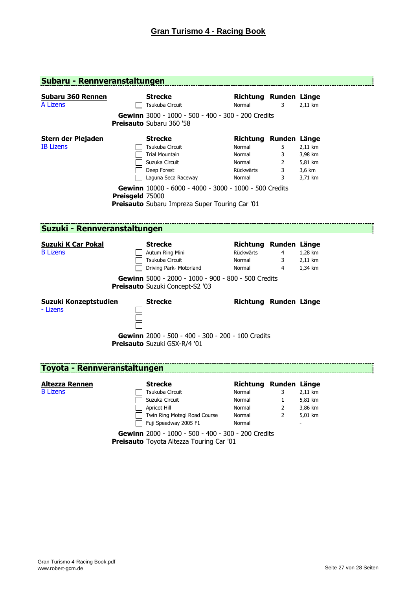| <b>Subaru - Rennveranstaltungen</b>         |                 |                                                                                                          |                                 |                |         |
|---------------------------------------------|-----------------|----------------------------------------------------------------------------------------------------------|---------------------------------|----------------|---------|
| <b>Subaru 360 Rennen</b><br><b>A Lizens</b> |                 | <b>Strecke</b><br>Tsukuba Circuit                                                                        | Richtung Runden Länge<br>Normal | 3              | 2,11 km |
|                                             |                 | Gewinn 3000 - 1000 - 500 - 400 - 300 - 200 Credits<br>Preisauto Subaru 360 '58                           |                                 |                |         |
| <b>Stern der Plejaden</b>                   |                 | <b>Strecke</b>                                                                                           | Richtung Runden Länge           |                |         |
| <b>IB Lizens</b>                            |                 | Tsukuba Circuit                                                                                          | Normal                          | 5              | 2,11 km |
|                                             |                 | <b>Trial Mountain</b>                                                                                    | Normal                          | 3              | 3,98 km |
|                                             |                 | Suzuka Circuit                                                                                           | Normal                          | $\overline{2}$ | 5,81 km |
|                                             |                 | Deep Forest                                                                                              | Rückwärts                       | 3              | 3,6 km  |
|                                             |                 | Laguna Seca Raceway                                                                                      | Normal                          | 3              | 3,71 km |
|                                             | Preisgeld 75000 | Gewinn 10000 - 6000 - 4000 - 3000 - 1000 - 500 Credits<br>Preisauto Subaru Impreza Super Touring Car '01 |                                 |                |         |
| <b>Suzuki - Rennveranstaltungen</b>         |                 |                                                                                                          |                                 |                |         |
| Suzuki K Car Pokal                          |                 | Strecke                                                                                                  | Richtung Runden Länge           |                |         |
| <b>B</b> Lizens                             |                 | Autum Ring Mini                                                                                          | Rückwärts                       | $\overline{4}$ | 1,28 km |
|                                             |                 | Tsukuba Circuit                                                                                          | Normal                          | 3              | 2,11 km |
|                                             |                 | Driving Park- Motorland                                                                                  | Normal                          | 4              | 1,34 km |
|                                             |                 | Gewinn 5000 - 2000 - 1000 - 900 - 800 - 500 Credits<br>Preisauto Suzuki Concept-S2 '03                   |                                 |                |         |
| <b>Suzuki Konzeptstudien</b><br>- Lizens    |                 | <b>Strecke</b>                                                                                           | Richtung Runden Länge           |                |         |
|                                             |                 | Gewinn 2000 - 500 - 400 - 300 - 200 - 100 Credits<br>Preisauto Suzuki GSX-R/4 '01                        |                                 |                |         |
| Toyota - Rennveranstaltungen                |                 |                                                                                                          |                                 |                |         |
| <b>Altezza Rennen</b>                       |                 | <b>Strecke</b>                                                                                           | Richtung Runden Länge           |                |         |
| <b>B</b> Lizens                             |                 | Tsukuba Circuit                                                                                          | Normal                          | 3              | 2,11 km |
|                                             |                 | Suzuka Circuit                                                                                           | Normal                          | $\mathbf{1}$   | 5,81 km |
|                                             |                 | Apricot Hill                                                                                             | Normal                          | $\overline{2}$ | 3,86 km |
|                                             |                 | Twin Ring Motegi Road Course                                                                             | Normal                          | 2              | 5,01 km |

**Gewinn** 2000 - 1000 - 500 - 400 - 300 - 200 Credits **Preisauto** Toyota Altezza Touring Car '01

Fuji Speedway 2005 F1 Normal Normal